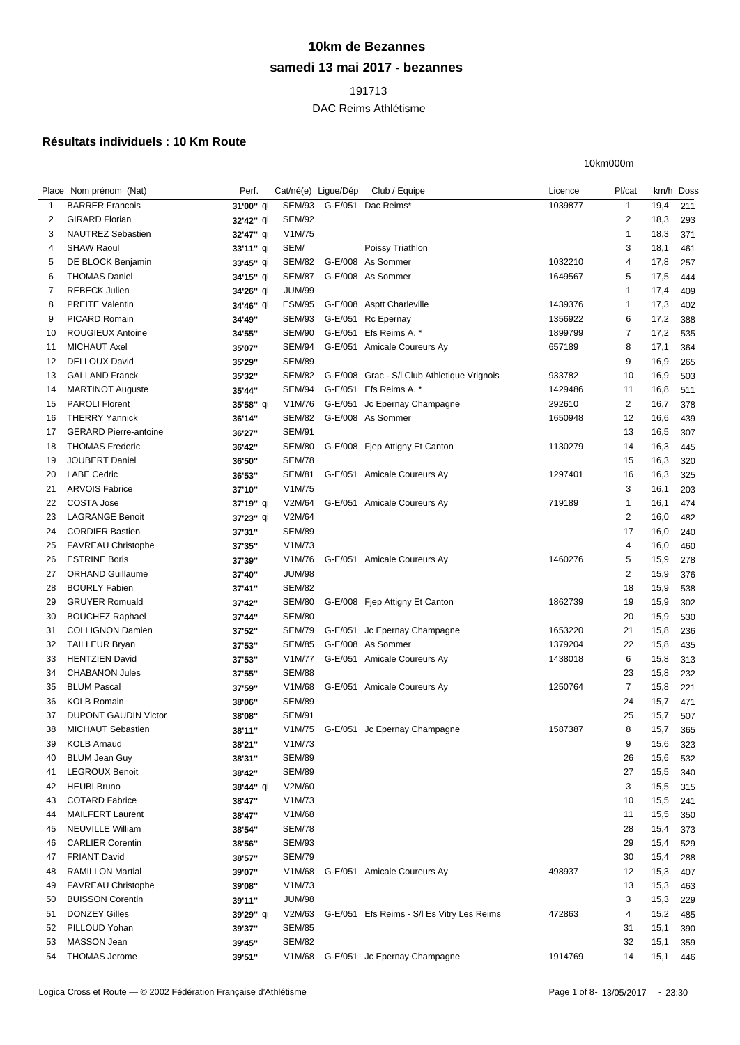## **10km de Bezannes samedi 13 mai 2017 - bezannes**

## 

## DAC Reims Athlétisme

## **Résultats individuels : 10 Km Route**

|                | Place Nom prénom (Nat)       | Perf.     | Cat/né(e) Ligue/Dép     | Club / Equipe                               | Licence | Pl/cat         | km/h Doss |     |
|----------------|------------------------------|-----------|-------------------------|---------------------------------------------|---------|----------------|-----------|-----|
| $\mathbf 1$    | <b>BARRER Francois</b>       | 31'00" qi | <b>SEM/93</b>           | G-E/051 Dac Reims*                          | 1039877 | 1              | 19,4      | 211 |
| $\overline{2}$ | <b>GIRARD Florian</b>        | 32'42" qi | <b>SEM/92</b>           |                                             |         | 2              | 18,3      | 293 |
| 3              | <b>NAUTREZ Sebastien</b>     | 32'47" qi | V1M/75                  |                                             |         | $\mathbf{1}$   | 18,3      | 371 |
| 4              | <b>SHAW Raoul</b>            | 33'11" qi | SEM/                    | Poissy Triathlon                            |         | 3              | 18,1      | 461 |
| 5              | DE BLOCK Benjamin            | 33'45" qi | SEM/82                  | G-E/008 As Sommer                           | 1032210 | 4              | 17,8      | 257 |
| 6              | <b>THOMAS Daniel</b>         | 34'15" qi | <b>SEM/87</b>           | G-E/008 As Sommer                           | 1649567 | 5              | 17,5      | 444 |
| 7              | <b>REBECK Julien</b>         | 34'26" qi | <b>JUM/99</b>           |                                             |         | 1              | 17,4      | 409 |
| 8              | <b>PREITE Valentin</b>       | 34'46" qi | <b>ESM/95</b>           | G-E/008 Asptt Charleville                   | 1439376 | $\mathbf{1}$   | 17,3      | 402 |
| 9              | PICARD Romain                | 34'49"    | SEM/93                  | G-E/051 Rc Epernay                          | 1356922 | 6              | 17,2      | 388 |
| 10             | ROUGIEUX Antoine             | 34'55"    | SEM/90                  | G-E/051 Efs Reims A. *                      | 1899799 | 7              | 17,2      | 535 |
| 11             | <b>MICHAUT Axel</b>          | 35'07"    | SEM/94                  | G-E/051 Amicale Coureurs Ay                 | 657189  | 8              | 17,1      | 364 |
| 12             | DELLOUX David                | 35'29"    | <b>SEM/89</b>           |                                             |         | 9              | 16,9      | 265 |
| 13             | <b>GALLAND Franck</b>        | 35'32"    | SEM/82                  | G-E/008 Grac - S/I Club Athletique Vrignois | 933782  | 10             | 16,9      | 503 |
| 14             | <b>MARTINOT Auguste</b>      | 35'44"    | SEM/94                  | G-E/051 Efs Reims A. *                      | 1429486 | 11             | 16,8      | 511 |
| 15             | <b>PAROLI Florent</b>        | 35'58" qi | V1M/76                  | G-E/051 Jc Epernay Champagne                | 292610  | $\overline{2}$ | 16,7      | 378 |
| 16             | <b>THERRY Yannick</b>        | 36'14"    | <b>SEM/82</b>           | G-E/008 As Sommer                           | 1650948 | 12             | 16,6      | 439 |
| 17             | <b>GERARD Pierre-antoine</b> | 36'27"    | <b>SEM/91</b>           |                                             |         | 13             | 16,5      | 307 |
| 18             | <b>THOMAS Frederic</b>       | 36'42"    | <b>SEM/80</b>           | G-E/008 Fjep Attigny Et Canton              | 1130279 | 14             | 16,3      | 445 |
| 19             | <b>JOUBERT Daniel</b>        | 36'50"    | <b>SEM/78</b>           |                                             |         | 15             | 16,3      | 320 |
| 20             | <b>LABE Cedric</b>           | 36'53"    | <b>SEM/81</b>           | G-E/051 Amicale Coureurs Ay                 | 1297401 | 16             | 16,3      | 325 |
| 21             | <b>ARVOIS Fabrice</b>        | 37'10"    | V1M/75                  |                                             |         | 3              | 16,1      | 203 |
| 22             | COSTA Jose                   | 37'19" qi | V2M/64                  | G-E/051 Amicale Coureurs Ay                 | 719189  | $\mathbf{1}$   | 16,1      | 474 |
| 23             | <b>LAGRANGE Benoit</b>       | 37'23" qi | V2M/64                  |                                             |         | $\overline{2}$ | 16,0      | 482 |
| 24             | <b>CORDIER Bastien</b>       | 37'31"    | <b>SEM/89</b>           |                                             |         | 17             | 16,0      | 240 |
| 25             | FAVREAU Christophe           | 37'35"    | V1M/73                  |                                             |         | 4              | 16,0      | 460 |
| 26             | <b>ESTRINE Boris</b>         | 37'39"    | V1M/76                  | G-E/051 Amicale Coureurs Ay                 | 1460276 | 5              | 15,9      | 278 |
| 27             | <b>ORHAND Guillaume</b>      | 37'40"    | <b>JUM/98</b>           |                                             |         | $\overline{c}$ | 15,9      | 376 |
| 28             | <b>BOURLY Fabien</b>         | 37'41"    | <b>SEM/82</b>           |                                             |         | 18             | 15,9      | 538 |
| 29             | <b>GRUYER Romuald</b>        | 37'42"    | SEM/80                  | G-E/008 Fjep Attigny Et Canton              | 1862739 | 19             | 15,9      | 302 |
|                | <b>BOUCHEZ Raphael</b>       |           | <b>SEM/80</b>           |                                             |         |                | 15,9      |     |
| 30             | <b>COLLIGNON Damien</b>      | 37'44"    | SEM/79                  | G-E/051 Jc Epernay Champagne                | 1653220 | 20<br>21       | 15,8      | 530 |
| 31             | <b>TAILLEUR Bryan</b>        | 37'52"    | <b>SEM/85</b>           | G-E/008 As Sommer                           |         |                | 15,8      | 236 |
| 32             |                              | 37'53"    |                         |                                             | 1379204 | 22             |           | 435 |
| 33             | <b>HENTZIEN David</b>        | 37'53"    | V1M/77<br><b>SEM/88</b> | G-E/051 Amicale Coureurs Ay                 | 1438018 | 6              | 15,8      | 313 |
| 34             | <b>CHABANON Jules</b>        | 37'55"    |                         |                                             |         | 23             | 15,8      | 232 |
| 35             | <b>BLUM Pascal</b>           | 37'59"    | V1M/68                  | G-E/051 Amicale Coureurs Ay                 | 1250764 | $\overline{7}$ | 15,8      | 221 |
| 36             | <b>KOLB Romain</b>           | 38'06"    | <b>SEM/89</b>           |                                             |         | 24             | 15,7      | 471 |
| 37             | <b>DUPONT GAUDIN Victor</b>  | 38'08"    | <b>SEM/91</b>           |                                             |         | 25             | 15,7      | 507 |
| 38             | MICHAUT Sebastien            | 38'11"    |                         | V1M/75 G-E/051 Jc Epernay Champagne         | 1587387 | 8              | 15,7      | 365 |
| 39             | <b>KOLB Arnaud</b>           | 38'21"    | V1M/73                  |                                             |         | 9              | 15,6      | 323 |
| 40             | <b>BLUM Jean Guy</b>         | 38'31"    | <b>SEM/89</b>           |                                             |         | 26             | 15,6      | 532 |
| 41             | <b>LEGROUX Benoit</b>        | 38'42"    | <b>SEM/89</b>           |                                             |         | 27             | 15,5      | 340 |
| 42             | <b>HEUBI Bruno</b>           | 38'44" qi | V2M/60                  |                                             |         | 3              | 15,5      | 315 |
| 43             | <b>COTARD Fabrice</b>        | 38'47"    | V1M/73                  |                                             |         | 10             | 15,5      | 241 |
| 44             | <b>MAILFERT Laurent</b>      | 38'47"    | V1M/68                  |                                             |         | 11             | 15,5      | 350 |
| 45             | <b>NEUVILLE William</b>      | 38'54"    | <b>SEM/78</b>           |                                             |         | 28             | 15,4      | 373 |
| 46             | <b>CARLIER Corentin</b>      | 38'56"    | <b>SEM/93</b>           |                                             |         | 29             | 15,4      | 529 |
| 47             | <b>FRIANT David</b>          | 38'57"    | <b>SEM/79</b>           |                                             |         | 30             | 15,4      | 288 |
| 48             | <b>RAMILLON Martial</b>      | 39'07"    | V1M/68                  | G-E/051 Amicale Coureurs Ay                 | 498937  | 12             | 15,3      | 407 |
| 49             | <b>FAVREAU Christophe</b>    | 39'08"    | V1M/73                  |                                             |         | 13             | 15,3      | 463 |
| 50             | <b>BUISSON Corentin</b>      | 39'11"    | <b>JUM/98</b>           |                                             |         | 3              | 15,3      | 229 |
| 51             | <b>DONZEY Gilles</b>         | 39'29" qi | V2M/63                  | G-E/051 Efs Reims - S/I Es Vitry Les Reims  | 472863  | 4              | 15,2      | 485 |
| 52             | PILLOUD Yohan                | 39'37"    | <b>SEM/85</b>           |                                             |         | 31             | 15,1      | 390 |
| 53             | MASSON Jean                  | 39'45"    | <b>SEM/82</b>           |                                             |         | 32             | 15,1      | 359 |
| 54             | <b>THOMAS Jerome</b>         | 39'51"    |                         | V1M/68 G-E/051 Jc Epernay Champagne         | 1914769 | 14             | 15,1      | 446 |

10km000m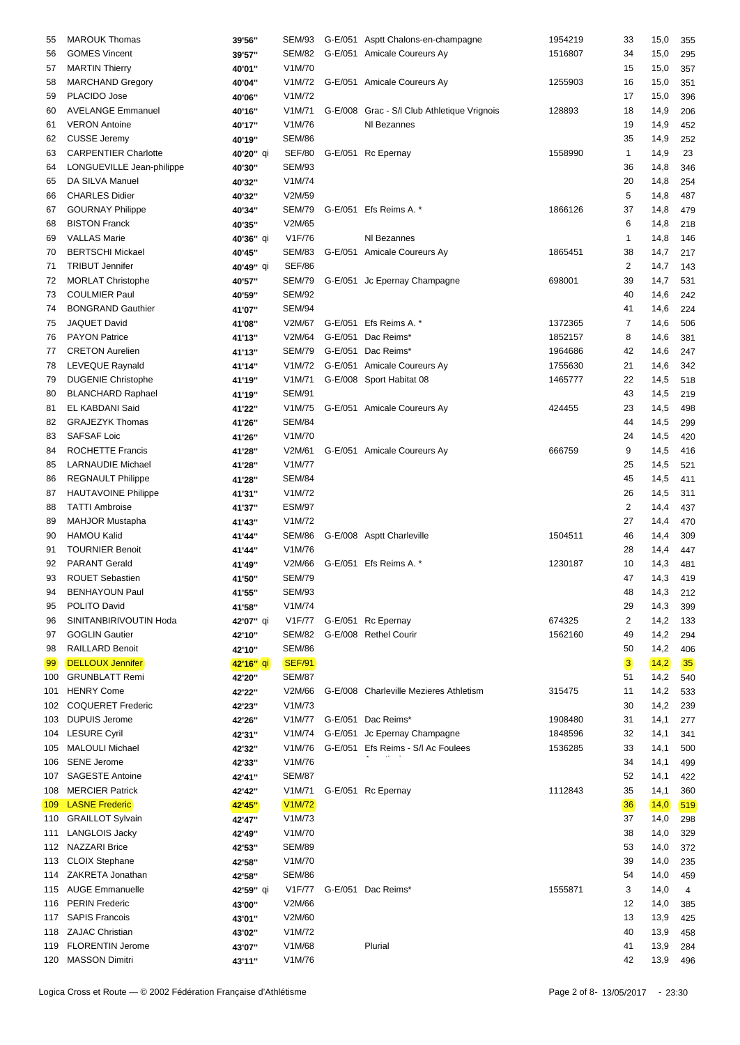| 57  | <b>MARTIN Thierry</b>       | 40'01"    | V1M/70              |                                             |         | 15 | 15,0     | 357 |
|-----|-----------------------------|-----------|---------------------|---------------------------------------------|---------|----|----------|-----|
| 58  | <b>MARCHAND Gregory</b>     | 40'04"    |                     | V1M/72 G-E/051 Amicale Coureurs Ay          | 1255903 | 16 | 15,0     | 351 |
|     |                             |           |                     |                                             |         |    |          |     |
| 59  | PLACIDO Jose                | 40'06"    | V1M/72              |                                             |         | 17 | 15,0     | 396 |
| 60  | <b>AVELANGE Emmanuel</b>    | 40'16"    | V1M/71              | G-E/008 Grac - S/I Club Athletique Vrignois | 128893  | 18 | 14,9     | 206 |
| 61  | <b>VERON Antoine</b>        | 40'17"    | V1M/76              | NI Bezannes                                 |         | 19 | 14,9     | 452 |
| 62  | CUSSE Jeremy                | 40'19"    | <b>SEM/86</b>       |                                             |         | 35 | 14,9     | 252 |
| 63  | <b>CARPENTIER Charlotte</b> | 40'20" qi | SEF/80              | G-E/051 Rc Epernay                          | 1558990 | 1  | 14,9     | 23  |
| 64  | LONGUEVILLE Jean-philippe   | 40'30"    | <b>SEM/93</b>       |                                             |         | 36 | 14,8     | 346 |
|     | DA SILVA Manuel             |           | V1M/74              |                                             |         | 20 | 14,8     |     |
| 65  |                             | 40'32"    |                     |                                             |         |    |          | 254 |
| 66  | <b>CHARLES Didier</b>       | 40'32"    | V2M/59              |                                             |         | 5  | 14,8     | 487 |
| 67  | <b>GOURNAY Philippe</b>     | 40'34"    | <b>SEM/79</b>       | G-E/051 Efs Reims A. *                      | 1866126 | 37 | 14,8     | 479 |
| 68  | <b>BISTON Franck</b>        | 40'35"    | V2M/65              |                                             |         | 6  | 14,8     | 218 |
| 69  | <b>VALLAS Marie</b>         | 40'36" qi | V1F/76              | NI Bezannes                                 |         | 1  | 14,8     | 146 |
| 70  | <b>BERTSCHI Mickael</b>     | 40'45"    | SEM/83              | G-E/051 Amicale Coureurs Ay                 | 1865451 | 38 | 14,7     | 217 |
| 71  | <b>TRIBUT Jennifer</b>      | 40'49" qi | SEF/86              |                                             |         | 2  | 14,7     | 143 |
|     |                             |           |                     |                                             |         |    |          |     |
| 72  | <b>MORLAT Christophe</b>    | 40'57"    | SEM/79              | G-E/051 Jc Epernay Champagne                | 698001  | 39 | 14,7     | 531 |
| 73  | <b>COULMIER Paul</b>        | 40'59"    | <b>SEM/92</b>       |                                             |         | 40 | 14,6     | 242 |
| 74  | <b>BONGRAND Gauthier</b>    | 41'07"    | <b>SEM/94</b>       |                                             |         | 41 | 14,6     | 224 |
| 75  | <b>JAQUET David</b>         | 41'08"    | V2M/67              | G-E/051 Efs Reims A. *                      | 1372365 | 7  | 14,6     | 506 |
| 76  | <b>PAYON Patrice</b>        | 41'13"    | V2M/64              | G-E/051 Dac Reims*                          | 1852157 | 8  | 14,6     | 381 |
| 77  | <b>CRETON Aurelien</b>      |           | <b>SEM/79</b>       | G-E/051 Dac Reims*                          | 1964686 | 42 | 14,6     | 247 |
|     |                             | 41'13"    |                     |                                             |         |    |          |     |
| 78  | LEVEQUE Raynald             | 41'14"    | V1M/72              | G-E/051 Amicale Coureurs Ay                 | 1755630 | 21 | 14,6     | 342 |
| 79  | <b>DUGENIE Christophe</b>   | 41'19"    | V1M/71              | G-E/008 Sport Habitat 08                    | 1465777 | 22 | 14,5     | 518 |
| 80  | <b>BLANCHARD Raphael</b>    | 41'19"    | <b>SEM/91</b>       |                                             |         | 43 | 14,5     | 219 |
| 81  | EL KABDANI Said             | 41'22"    | V1M/75              | G-E/051 Amicale Coureurs Ay                 | 424455  | 23 | 14,5     | 498 |
| 82  | <b>GRAJEZYK Thomas</b>      | 41'26"    | <b>SEM/84</b>       |                                             |         | 44 | 14,5     | 299 |
| 83  | <b>SAFSAF Loic</b>          | 41'26"    | V1M/70              |                                             |         | 24 | 14,5     | 420 |
|     |                             |           |                     |                                             |         |    |          |     |
| 84  | <b>ROCHETTE Francis</b>     | 41'28"    | V2M/61              | G-E/051 Amicale Coureurs Ay                 | 666759  | 9  | 14,5     | 416 |
| 85  | <b>LARNAUDIE Michael</b>    | 41'28"    | V1M/77              |                                             |         | 25 | 14,5     | 521 |
| 86  | <b>REGNAULT Philippe</b>    | 41'28"    | SEM/84              |                                             |         | 45 | 14,5     | 411 |
| 87  | <b>HAUTAVOINE Philippe</b>  | 41'31"    | V1M/72              |                                             |         | 26 | 14,5     | 311 |
| 88  | <b>TATTI Ambroise</b>       | 41'37"    | <b>ESM/97</b>       |                                             |         | 2  | 14,4     | 437 |
| 89  | <b>MAHJOR Mustapha</b>      | 41'43"    | V1M/72              |                                             |         | 27 | 14,4     | 470 |
|     |                             |           |                     |                                             |         |    |          |     |
| 90  | <b>HAMOU Kalid</b>          | 41'44"    | <b>SEM/86</b>       | G-E/008 Asptt Charleville                   | 1504511 | 46 | 14,4     | 309 |
| 91  | <b>TOURNIER Benoit</b>      | 41'44"    | V1M/76              |                                             |         | 28 | 14,4     | 447 |
| 92  | <b>PARANT Gerald</b>        | 41'49"    | V2M/66              | G-E/051 Efs Reims A. *                      | 1230187 | 10 | 14,3     | 481 |
| 93  | <b>ROUET Sebastien</b>      | 41'50"    | <b>SEM/79</b>       |                                             |         | 47 | 14,3     | 419 |
| 94  | <b>BENHAYOUN Paul</b>       | 41'55"    | <b>SEM/93</b>       |                                             |         | 48 | 14,3     | 212 |
| 95  | POLITO David                | 41'58"    | V1M/74              |                                             |         | 29 | 14,3     | 399 |
|     | SINITANBIRIVOUTIN Hoda      |           |                     | V1F/77 G-E/051 Rc Epernay                   | 674325  | 2  |          |     |
| 96  |                             | 42'07" qi |                     |                                             |         |    | 14,2 133 |     |
| 97  | <b>GOGLIN Gautier</b>       | 42'10"    |                     | SEM/82 G-E/008 Rethel Courir                | 1562160 | 49 | 14,2     | 294 |
| 98  | <b>RAILLARD Benoit</b>      | 42'10"    | <b>SEM/86</b>       |                                             |         | 50 | 14,2     | 406 |
| 99  | <b>DELLOUX Jennifer</b>     | 42'16" qi | <b>SEF/91</b>       |                                             |         | 3  | 14,2     | 35  |
| 100 | <b>GRUNBLATT Remi</b>       | 42'20"    | <b>SEM/87</b>       |                                             |         | 51 | 14,2     | 540 |
| 101 | <b>HENRY Come</b>           | 42'22"    | V2M/66              | G-E/008 Charleville Mezieres Athletism      | 315475  | 11 | 14,2     | 533 |
| 102 | <b>COQUERET Frederic</b>    | 42'23"    | V1M/73              |                                             |         | 30 | 14,2     | 239 |
|     |                             |           |                     |                                             |         |    |          |     |
| 103 | <b>DUPUIS Jerome</b>        | 42'26"    |                     | V1M/77 G-E/051 Dac Reims*                   | 1908480 | 31 | 14,1     | 277 |
|     | 104 LESURE Cyril            | 42'31"    | V1M/74              | G-E/051 Jc Epernay Champagne                | 1848596 | 32 | 14,1     | 341 |
| 105 | <b>MALOULI Michael</b>      | 42'32"    | V1M/76              | G-E/051 Efs Reims - S/I Ac Foulees          | 1536285 | 33 | 14,1     | 500 |
| 106 | <b>SENE Jerome</b>          | 42'33"    | V1M/76              |                                             |         | 34 | 14,1     | 499 |
|     | 107 SAGESTE Antoine         | 42'41"    | <b>SEM/87</b>       |                                             |         | 52 | 14,1     | 422 |
| 108 | <b>MERCIER Patrick</b>      | 42'42"    | V1M/71              | G-E/051 Rc Epernay                          | 1112843 | 35 | 14,1     | 360 |
|     | 109 LASNE Frederic          | 42'45"    | V <sub>1</sub> M/72 |                                             |         | 36 |          | 519 |
|     |                             |           |                     |                                             |         |    | 14,0     |     |
|     | 110 GRAILLOT Sylvain        | 42'47"    | V1M/73              |                                             |         | 37 | 14,0     | 298 |
|     | 111 LANGLOIS Jacky          | 42'49"    | V1M/70              |                                             |         | 38 | 14,0     | 329 |
|     | 112 NAZZARI Brice           | 42'53"    | <b>SEM/89</b>       |                                             |         | 53 | 14,0     | 372 |
|     | 113 CLOIX Stephane          | 42'58"    | V1M/70              |                                             |         | 39 | 14,0     | 235 |
|     | 114 ZAKRETA Jonathan        | 42'58"    | <b>SEM/86</b>       |                                             |         | 54 | 14,0     | 459 |
|     | 115 AUGE Emmanuelle         | 42'59" qi |                     | V1F/77 G-E/051 Dac Reims*                   | 1555871 | 3  | 14,0     | 4   |
|     | <b>PERIN Frederic</b>       |           | V2M/66              |                                             |         |    |          |     |
| 116 |                             | 43'00"    |                     |                                             |         | 12 | 14,0     | 385 |
|     | 117 SAPIS Francois          | 43'01"    | V2M/60              |                                             |         | 13 | 13,9     | 425 |
|     | 118 ZAJAC Christian         | 43'02"    | V1M/72              |                                             |         | 40 | 13,9     | 458 |
|     | 119 FLORENTIN Jerome        | 43'07"    | V1M/68              | Plurial                                     |         | 41 | 13,9     | 284 |
|     | 120 MASSON Dimitri          | 43'11"    | V1M/76              |                                             |         | 42 | 13,9     | 496 |
|     |                             |           |                     |                                             |         |    |          |     |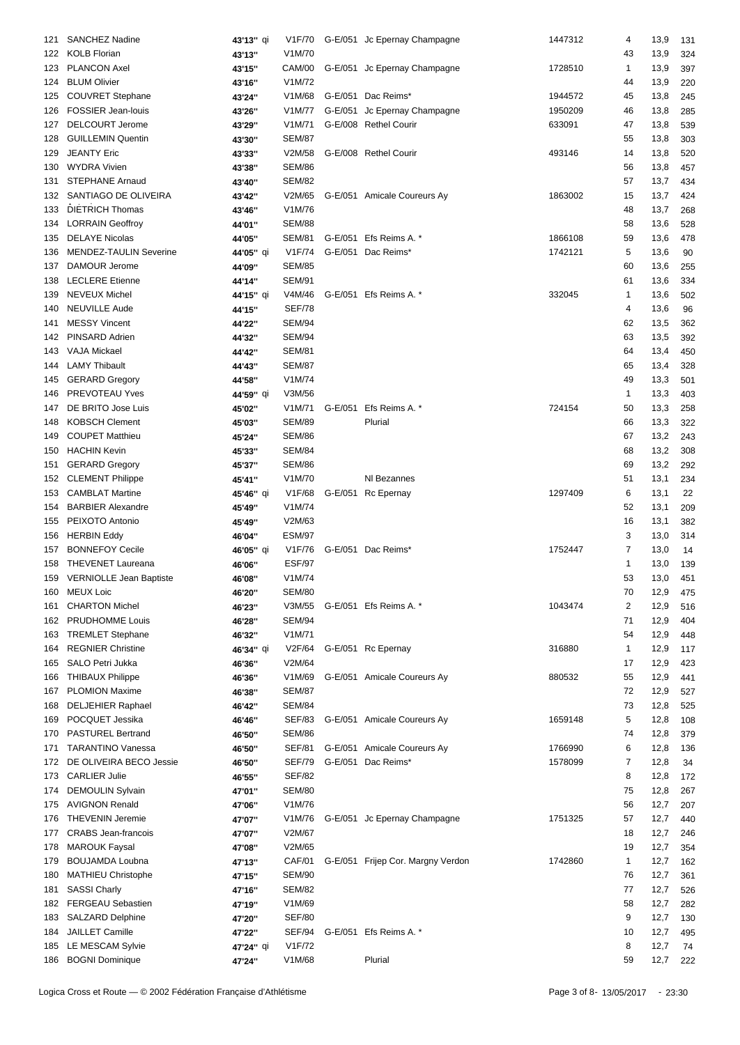| 121 | SANCHEZ Nadine              | 43'13" qi | V1F/70        | G-E/051 Jc Epernay Champagne      | 1447312 | 4              | 13,9     | 131 |
|-----|-----------------------------|-----------|---------------|-----------------------------------|---------|----------------|----------|-----|
|     |                             |           |               |                                   |         |                |          |     |
|     | 122 KOLB Florian            | 43'13"    | V1M/70        |                                   |         | 43             | 13,9     | 324 |
| 123 | <b>PLANCON Axel</b>         | 43'15"    | <b>CAM/00</b> | G-E/051 Jc Epernay Champagne      | 1728510 | 1              | 13,9     | 397 |
| 124 | <b>BLUM Olivier</b>         | 43'16"    | V1M/72        |                                   |         | 44             | 13,9     | 220 |
| 125 | <b>COUVRET Stephane</b>     | 43'24"    | V1M/68        | G-E/051 Dac Reims*                | 1944572 | 45             | 13,8     | 245 |
| 126 | FOSSIER Jean-louis          | 43'26"    | V1M/77        | G-E/051 Jc Epernay Champagne      | 1950209 | 46             | 13,8     | 285 |
|     |                             |           |               |                                   |         |                |          |     |
| 127 | <b>DELCOURT Jerome</b>      | 43'29"    | V1M/71        | G-E/008 Rethel Courir             | 633091  | 47             | 13,8     | 539 |
| 128 | <b>GUILLEMIN Quentin</b>    | 43'30"    | <b>SEM/87</b> |                                   |         | 55             | 13,8     | 303 |
| 129 | <b>JEANTY Eric</b>          | 43'33"    | V2M/58        | G-E/008 Rethel Courir             | 493146  | 14             | 13,8     | 520 |
| 130 | <b>WYDRA Vivien</b>         | 43'38"    | <b>SEM/86</b> |                                   |         | 56             | 13,8     | 457 |
| 131 | <b>STEPHANE Arnaud</b>      | 43'40"    | <b>SEM/82</b> |                                   |         | 57             | 13,7     | 434 |
|     |                             |           |               |                                   |         |                |          |     |
| 132 | SANTIAGO DE OLIVEIRA        | 43'42"    | V2M/65        | G-E/051 Amicale Coureurs Ay       | 1863002 | 15             | 13,7     | 424 |
| 133 | <b>DIETRICH Thomas</b>      | 43'46"    | V1M/76        |                                   |         | 48             | 13,7     | 268 |
| 134 | <b>LORRAIN Geoffroy</b>     | 44'01"    | <b>SEM/88</b> |                                   |         | 58             | 13,6     | 528 |
| 135 | <b>DELAYE Nicolas</b>       | 44'05"    | <b>SEM/81</b> | G-E/051 Efs Reims A. *            | 1866108 | 59             | 13,6     | 478 |
| 136 | MENDEZ-TAULIN Severine      | 44'05" qi | V1F/74        | G-E/051 Dac Reims*                | 1742121 | 5              | 13,6     | 90  |
|     |                             |           |               |                                   |         |                |          |     |
| 137 | DAMOUR Jerome               | 44'09"    | <b>SEM/85</b> |                                   |         | 60             | 13,6     | 255 |
| 138 | <b>LECLERE</b> Etienne      | 44'14"    | <b>SEM/91</b> |                                   |         | 61             | 13,6     | 334 |
| 139 | <b>NEVEUX Michel</b>        | 44'15" qi | V4M/46        | G-E/051 Efs Reims A. *            | 332045  | 1              | 13,6     | 502 |
| 140 | <b>NEUVILLE Aude</b>        | 44'15"    | <b>SEF/78</b> |                                   |         | 4              | 13,6     | 96  |
| 141 | <b>MESSY Vincent</b>        | 44'22"    | <b>SEM/94</b> |                                   |         | 62             | 13,5     | 362 |
|     | PINSARD Adrien              |           | SEM/94        |                                   |         | 63             |          |     |
| 142 |                             | 44'32"    |               |                                   |         |                | 13,5     | 392 |
| 143 | <b>VAJA Mickael</b>         | 44'42"    | <b>SEM/81</b> |                                   |         | 64             | 13,4     | 450 |
| 144 | <b>LAMY Thibault</b>        | 44'43"    | <b>SEM/87</b> |                                   |         | 65             | 13,4     | 328 |
| 145 | <b>GERARD Gregory</b>       | 44'58"    | V1M/74        |                                   |         | 49             | 13,3     | 501 |
| 146 | PREVOTEAU Yves              | 44'59" qi | V3M/56        |                                   |         | 1              | 13,3     | 403 |
| 147 | DE BRITO Jose Luis          | 45'02"    | V1M/71        | G-E/051 Efs Reims A. *            | 724154  | 50             | 13,3     | 258 |
|     |                             |           |               |                                   |         |                |          |     |
| 148 | <b>KOBSCH Clement</b>       | 45'03"    | <b>SEM/89</b> | Plurial                           |         | 66             | 13,3     | 322 |
| 149 | <b>COUPET Matthieu</b>      | 45'24"    | <b>SEM/86</b> |                                   |         | 67             | 13,2     | 243 |
| 150 | <b>HACHIN Kevin</b>         | 45'33"    | <b>SEM/84</b> |                                   |         | 68             | 13,2     | 308 |
| 151 | <b>GERARD Gregory</b>       | 45'37"    | <b>SEM/86</b> |                                   |         | 69             | 13,2     | 292 |
| 152 | <b>CLEMENT Philippe</b>     | 45'41"    | V1M/70        | NI Bezannes                       |         | 51             | 13,1     | 234 |
|     |                             |           |               |                                   |         |                |          |     |
| 153 | <b>CAMBLAT Martine</b>      | 45'46" qi | V1F/68        | G-E/051 Rc Epernay                | 1297409 | 6              | 13,1     | 22  |
| 154 | <b>BARBIER Alexandre</b>    | 45'49"    | V1M/74        |                                   |         | 52             | 13,1     | 209 |
| 155 | PEIXOTO Antonio             | 45'49"    | V2M/63        |                                   |         | 16             | 13,1     | 382 |
| 156 | <b>HERBIN Eddy</b>          | 46'04"    | <b>ESM/97</b> |                                   |         | 3              | 13,0     | 314 |
| 157 | <b>BONNEFOY Cecile</b>      | 46'05" qi | V1F/76        | G-E/051 Dac Reims*                | 1752447 | 7              | 13,0     | 14  |
|     |                             |           |               |                                   |         |                |          |     |
| 158 | <b>THEVENET Laureana</b>    | 46'06"    | <b>ESF/97</b> |                                   |         | 1              | 13,0     | 139 |
|     | 159 VERNIOLLE Jean Baptiste | 46'08"    | V1M/74        |                                   |         | 53             | 13,0     | 451 |
|     | 160 MEUX Loic               | 46'20"    | <b>SEM/80</b> |                                   |         | 70             | 12,9 475 |     |
| 161 | <b>CHARTON Michel</b>       | 46'23"    | V3M/55        | G-E/051 Efs Reims A. *            | 1043474 | $\overline{2}$ | 12,9     | 516 |
|     | 162 PRUDHOMME Louis         | 46'28"    | <b>SEM/94</b> |                                   |         | 71             | 12,9     | 404 |
|     |                             |           |               |                                   |         |                |          |     |
|     | 163 TREMLET Stephane        | 46'32"    | V1M/71        |                                   |         | 54             | 12,9     | 448 |
| 164 | <b>REGNIER Christine</b>    | 46'34" qi | V2F/64        | G-E/051 Rc Epernay                | 316880  | 1              | 12,9     | 117 |
| 165 | SALO Petri Jukka            | 46'36"    | V2M/64        |                                   |         | 17             | 12,9     | 423 |
| 166 | <b>THIBAUX Philippe</b>     | 46'36"    | V1M/69        | G-E/051 Amicale Coureurs Ay       | 880532  | 55             | 12,9     | 441 |
| 167 | <b>PLOMION Maxime</b>       | 46'38"    | <b>SEM/87</b> |                                   |         | 72             | 12,9     | 527 |
|     | <b>DELJEHIER Raphael</b>    |           | <b>SEM/84</b> |                                   |         | 73             | 12,8     |     |
| 168 |                             | 46'42"    |               |                                   |         |                |          | 525 |
| 169 | POCQUET Jessika             | 46'46"    | SEF/83        | G-E/051 Amicale Coureurs Ay       | 1659148 | 5              | 12,8     | 108 |
| 170 | <b>PASTUREL Bertrand</b>    | 46'50"    | <b>SEM/86</b> |                                   |         | 74             | 12,8     | 379 |
| 171 | TARANTINO Vanessa           | 46'50"    | <b>SEF/81</b> | G-E/051 Amicale Coureurs Ay       | 1766990 | 6              | 12,8     | 136 |
|     | 172 DE OLIVEIRA BECO Jessie | 46'50"    | SEF/79        | G-E/051 Dac Reims*                | 1578099 | 7              | 12,8     | 34  |
|     | 173 CARLIER Julie           | 46'55"    | <b>SEF/82</b> |                                   |         | 8              | 12,8     | 172 |
|     |                             |           |               |                                   |         |                |          |     |
|     | 174 DEMOULIN Sylvain        | 47'01"    | <b>SEM/80</b> |                                   |         | 75             | 12,8     | 267 |
| 175 | <b>AVIGNON Renald</b>       | 47'06"    | V1M/76        |                                   |         | 56             | 12,7     | 207 |
| 176 | <b>THEVENIN Jeremie</b>     | 47'07"    | V1M/76        | G-E/051 Jc Epernay Champagne      | 1751325 | 57             | 12,7     | 440 |
|     | 177 CRABS Jean-francois     | 47'07"    | V2M/67        |                                   |         | 18             | 12,7     | 246 |
| 178 | <b>MAROUK Faysal</b>        | 47'08"    | V2M/65        |                                   |         | 19             | 12,7     | 354 |
|     |                             |           |               |                                   |         |                |          |     |
| 179 | <b>BOUJAMDA Loubna</b>      | 47'13"    | CAF/01        | G-E/051 Frijep Cor. Margny Verdon | 1742860 | $\mathbf{1}$   | 12,7     | 162 |
| 180 | <b>MATHIEU Christophe</b>   | 47'15"    | <b>SEM/90</b> |                                   |         | 76             | 12,7     | 361 |
| 181 | <b>SASSI Charly</b>         | 47'16"    | <b>SEM/82</b> |                                   |         | 77             | 12,7     | 526 |
|     | 182 FERGEAU Sebastien       | 47'19"    | V1M/69        |                                   |         | 58             | 12,7     | 282 |
| 183 | SALZARD Delphine            | 47'20"    | <b>SEF/80</b> |                                   |         | 9              | 12,7     | 130 |
|     |                             |           |               |                                   |         |                |          |     |
| 184 | JAILLET Camille             | 47'22"    |               | SEF/94 G-E/051 Efs Reims A. *     |         | 10             | 12,7     | 495 |
| 185 | LE MESCAM Sylvie            | 47'24" qi | V1F/72        |                                   |         | 8              | 12,7     | 74  |
|     | 186 BOGNI Dominique         | 47'24"    | V1M/68        | Plurial                           |         | 59             | 12,7     | 222 |
|     |                             |           |               |                                   |         |                |          |     |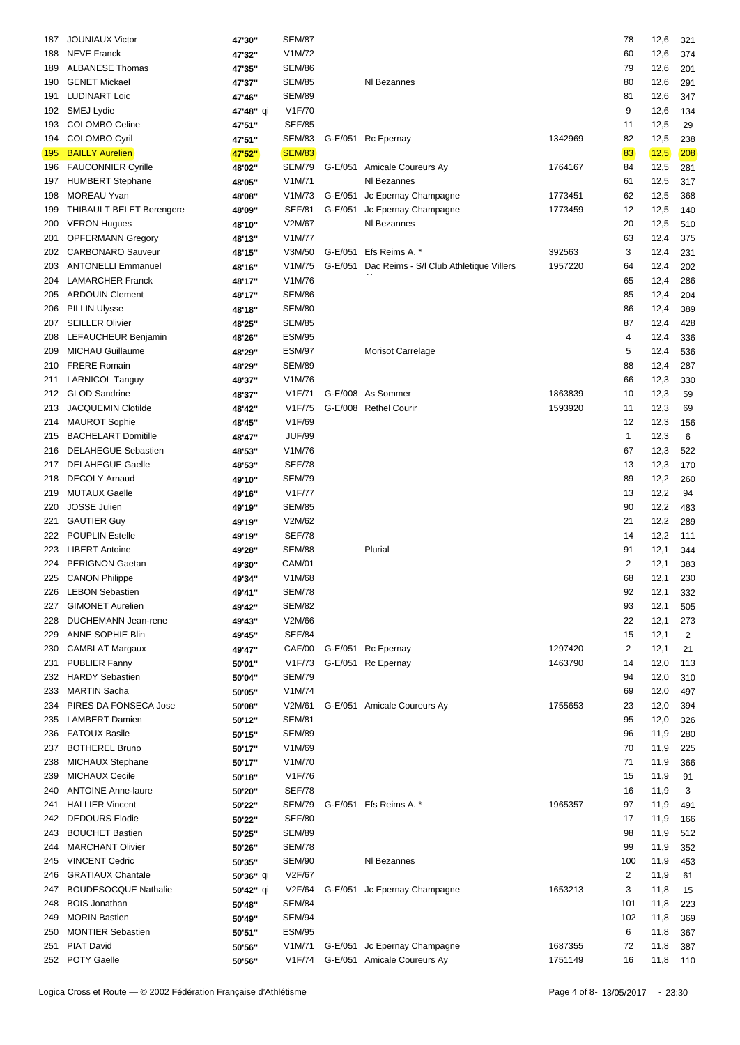| <b>ALBANESE Thomas</b>               | 47'35"                                                                                                                                                                                                                                                                                                                                                                                                                                                                                                                                                                                                                                                                                                                                                                                 | <b>SEM/86</b>                                                                                                                                                                                                                                                                                                         |                                                                                                                                                                                                                                                                                                                                                                                                                                                      |                                                                    |                                                                                                                                                                                                                                                                                                                                                                         | 79                                                             | 12,6                                                                                                                                                                                              | 201                                                                                                                                                                                                                                                                          |
|--------------------------------------|----------------------------------------------------------------------------------------------------------------------------------------------------------------------------------------------------------------------------------------------------------------------------------------------------------------------------------------------------------------------------------------------------------------------------------------------------------------------------------------------------------------------------------------------------------------------------------------------------------------------------------------------------------------------------------------------------------------------------------------------------------------------------------------|-----------------------------------------------------------------------------------------------------------------------------------------------------------------------------------------------------------------------------------------------------------------------------------------------------------------------|------------------------------------------------------------------------------------------------------------------------------------------------------------------------------------------------------------------------------------------------------------------------------------------------------------------------------------------------------------------------------------------------------------------------------------------------------|--------------------------------------------------------------------|-------------------------------------------------------------------------------------------------------------------------------------------------------------------------------------------------------------------------------------------------------------------------------------------------------------------------------------------------------------------------|----------------------------------------------------------------|---------------------------------------------------------------------------------------------------------------------------------------------------------------------------------------------------|------------------------------------------------------------------------------------------------------------------------------------------------------------------------------------------------------------------------------------------------------------------------------|
| <b>GENET Mickael</b>                 | 47'37"                                                                                                                                                                                                                                                                                                                                                                                                                                                                                                                                                                                                                                                                                                                                                                                 | <b>SEM/85</b>                                                                                                                                                                                                                                                                                                         |                                                                                                                                                                                                                                                                                                                                                                                                                                                      | NI Bezannes                                                        |                                                                                                                                                                                                                                                                                                                                                                         | 80                                                             | 12,6                                                                                                                                                                                              | 291                                                                                                                                                                                                                                                                          |
| <b>LUDINART Loic</b>                 | 47'46"                                                                                                                                                                                                                                                                                                                                                                                                                                                                                                                                                                                                                                                                                                                                                                                 | <b>SEM/89</b>                                                                                                                                                                                                                                                                                                         |                                                                                                                                                                                                                                                                                                                                                                                                                                                      |                                                                    |                                                                                                                                                                                                                                                                                                                                                                         | 81                                                             | 12,6                                                                                                                                                                                              | 347                                                                                                                                                                                                                                                                          |
|                                      |                                                                                                                                                                                                                                                                                                                                                                                                                                                                                                                                                                                                                                                                                                                                                                                        |                                                                                                                                                                                                                                                                                                                       |                                                                                                                                                                                                                                                                                                                                                                                                                                                      |                                                                    |                                                                                                                                                                                                                                                                                                                                                                         | 9                                                              |                                                                                                                                                                                                   | 134                                                                                                                                                                                                                                                                          |
|                                      |                                                                                                                                                                                                                                                                                                                                                                                                                                                                                                                                                                                                                                                                                                                                                                                        |                                                                                                                                                                                                                                                                                                                       |                                                                                                                                                                                                                                                                                                                                                                                                                                                      |                                                                    |                                                                                                                                                                                                                                                                                                                                                                         |                                                                |                                                                                                                                                                                                   | 29                                                                                                                                                                                                                                                                           |
|                                      |                                                                                                                                                                                                                                                                                                                                                                                                                                                                                                                                                                                                                                                                                                                                                                                        |                                                                                                                                                                                                                                                                                                                       |                                                                                                                                                                                                                                                                                                                                                                                                                                                      |                                                                    |                                                                                                                                                                                                                                                                                                                                                                         |                                                                |                                                                                                                                                                                                   | 238                                                                                                                                                                                                                                                                          |
|                                      |                                                                                                                                                                                                                                                                                                                                                                                                                                                                                                                                                                                                                                                                                                                                                                                        |                                                                                                                                                                                                                                                                                                                       |                                                                                                                                                                                                                                                                                                                                                                                                                                                      |                                                                    |                                                                                                                                                                                                                                                                                                                                                                         |                                                                |                                                                                                                                                                                                   |                                                                                                                                                                                                                                                                              |
|                                      |                                                                                                                                                                                                                                                                                                                                                                                                                                                                                                                                                                                                                                                                                                                                                                                        |                                                                                                                                                                                                                                                                                                                       |                                                                                                                                                                                                                                                                                                                                                                                                                                                      |                                                                    |                                                                                                                                                                                                                                                                                                                                                                         |                                                                |                                                                                                                                                                                                   | 208                                                                                                                                                                                                                                                                          |
|                                      |                                                                                                                                                                                                                                                                                                                                                                                                                                                                                                                                                                                                                                                                                                                                                                                        |                                                                                                                                                                                                                                                                                                                       |                                                                                                                                                                                                                                                                                                                                                                                                                                                      |                                                                    |                                                                                                                                                                                                                                                                                                                                                                         |                                                                |                                                                                                                                                                                                   | 281                                                                                                                                                                                                                                                                          |
|                                      |                                                                                                                                                                                                                                                                                                                                                                                                                                                                                                                                                                                                                                                                                                                                                                                        |                                                                                                                                                                                                                                                                                                                       |                                                                                                                                                                                                                                                                                                                                                                                                                                                      |                                                                    |                                                                                                                                                                                                                                                                                                                                                                         |                                                                |                                                                                                                                                                                                   | 317                                                                                                                                                                                                                                                                          |
|                                      |                                                                                                                                                                                                                                                                                                                                                                                                                                                                                                                                                                                                                                                                                                                                                                                        |                                                                                                                                                                                                                                                                                                                       |                                                                                                                                                                                                                                                                                                                                                                                                                                                      |                                                                    |                                                                                                                                                                                                                                                                                                                                                                         |                                                                |                                                                                                                                                                                                   | 368                                                                                                                                                                                                                                                                          |
| <b>THIBAULT BELET Berengere</b>      | 48'09"                                                                                                                                                                                                                                                                                                                                                                                                                                                                                                                                                                                                                                                                                                                                                                                 | <b>SEF/81</b>                                                                                                                                                                                                                                                                                                         | G-E/051                                                                                                                                                                                                                                                                                                                                                                                                                                              | Jc Epernay Champagne                                               | 1773459                                                                                                                                                                                                                                                                                                                                                                 | 12                                                             |                                                                                                                                                                                                   | 140                                                                                                                                                                                                                                                                          |
| <b>VERON Hugues</b>                  | 48'10"                                                                                                                                                                                                                                                                                                                                                                                                                                                                                                                                                                                                                                                                                                                                                                                 | V2M/67                                                                                                                                                                                                                                                                                                                |                                                                                                                                                                                                                                                                                                                                                                                                                                                      | NI Bezannes                                                        |                                                                                                                                                                                                                                                                                                                                                                         | 20                                                             | 12,5                                                                                                                                                                                              | 510                                                                                                                                                                                                                                                                          |
| <b>OPFERMANN Gregory</b>             | 48'13"                                                                                                                                                                                                                                                                                                                                                                                                                                                                                                                                                                                                                                                                                                                                                                                 | V1M/77                                                                                                                                                                                                                                                                                                                |                                                                                                                                                                                                                                                                                                                                                                                                                                                      |                                                                    |                                                                                                                                                                                                                                                                                                                                                                         | 63                                                             | 12,4                                                                                                                                                                                              | 375                                                                                                                                                                                                                                                                          |
| <b>CARBONARO Sauveur</b>             | 48'15"                                                                                                                                                                                                                                                                                                                                                                                                                                                                                                                                                                                                                                                                                                                                                                                 | V3M/50                                                                                                                                                                                                                                                                                                                |                                                                                                                                                                                                                                                                                                                                                                                                                                                      |                                                                    | 392563                                                                                                                                                                                                                                                                                                                                                                  | 3                                                              | 12,4                                                                                                                                                                                              | 231                                                                                                                                                                                                                                                                          |
| <b>ANTONELLI Emmanuel</b>            |                                                                                                                                                                                                                                                                                                                                                                                                                                                                                                                                                                                                                                                                                                                                                                                        | V1M/75                                                                                                                                                                                                                                                                                                                |                                                                                                                                                                                                                                                                                                                                                                                                                                                      |                                                                    | 1957220                                                                                                                                                                                                                                                                                                                                                                 | 64                                                             | 12,4                                                                                                                                                                                              | 202                                                                                                                                                                                                                                                                          |
|                                      |                                                                                                                                                                                                                                                                                                                                                                                                                                                                                                                                                                                                                                                                                                                                                                                        |                                                                                                                                                                                                                                                                                                                       |                                                                                                                                                                                                                                                                                                                                                                                                                                                      |                                                                    |                                                                                                                                                                                                                                                                                                                                                                         |                                                                |                                                                                                                                                                                                   | 286                                                                                                                                                                                                                                                                          |
|                                      |                                                                                                                                                                                                                                                                                                                                                                                                                                                                                                                                                                                                                                                                                                                                                                                        |                                                                                                                                                                                                                                                                                                                       |                                                                                                                                                                                                                                                                                                                                                                                                                                                      |                                                                    |                                                                                                                                                                                                                                                                                                                                                                         |                                                                |                                                                                                                                                                                                   | 204                                                                                                                                                                                                                                                                          |
|                                      |                                                                                                                                                                                                                                                                                                                                                                                                                                                                                                                                                                                                                                                                                                                                                                                        |                                                                                                                                                                                                                                                                                                                       |                                                                                                                                                                                                                                                                                                                                                                                                                                                      |                                                                    |                                                                                                                                                                                                                                                                                                                                                                         |                                                                |                                                                                                                                                                                                   | 389                                                                                                                                                                                                                                                                          |
|                                      |                                                                                                                                                                                                                                                                                                                                                                                                                                                                                                                                                                                                                                                                                                                                                                                        |                                                                                                                                                                                                                                                                                                                       |                                                                                                                                                                                                                                                                                                                                                                                                                                                      |                                                                    |                                                                                                                                                                                                                                                                                                                                                                         |                                                                |                                                                                                                                                                                                   |                                                                                                                                                                                                                                                                              |
|                                      |                                                                                                                                                                                                                                                                                                                                                                                                                                                                                                                                                                                                                                                                                                                                                                                        |                                                                                                                                                                                                                                                                                                                       |                                                                                                                                                                                                                                                                                                                                                                                                                                                      |                                                                    |                                                                                                                                                                                                                                                                                                                                                                         |                                                                |                                                                                                                                                                                                   | 428                                                                                                                                                                                                                                                                          |
|                                      |                                                                                                                                                                                                                                                                                                                                                                                                                                                                                                                                                                                                                                                                                                                                                                                        |                                                                                                                                                                                                                                                                                                                       |                                                                                                                                                                                                                                                                                                                                                                                                                                                      |                                                                    |                                                                                                                                                                                                                                                                                                                                                                         |                                                                |                                                                                                                                                                                                   | 336                                                                                                                                                                                                                                                                          |
|                                      |                                                                                                                                                                                                                                                                                                                                                                                                                                                                                                                                                                                                                                                                                                                                                                                        |                                                                                                                                                                                                                                                                                                                       |                                                                                                                                                                                                                                                                                                                                                                                                                                                      |                                                                    |                                                                                                                                                                                                                                                                                                                                                                         |                                                                |                                                                                                                                                                                                   | 536                                                                                                                                                                                                                                                                          |
|                                      |                                                                                                                                                                                                                                                                                                                                                                                                                                                                                                                                                                                                                                                                                                                                                                                        |                                                                                                                                                                                                                                                                                                                       |                                                                                                                                                                                                                                                                                                                                                                                                                                                      |                                                                    |                                                                                                                                                                                                                                                                                                                                                                         |                                                                |                                                                                                                                                                                                   | 287                                                                                                                                                                                                                                                                          |
| <b>LARNICOL Tanguy</b>               | 48'37"                                                                                                                                                                                                                                                                                                                                                                                                                                                                                                                                                                                                                                                                                                                                                                                 | V1M/76                                                                                                                                                                                                                                                                                                                |                                                                                                                                                                                                                                                                                                                                                                                                                                                      |                                                                    |                                                                                                                                                                                                                                                                                                                                                                         | 66                                                             |                                                                                                                                                                                                   | 330                                                                                                                                                                                                                                                                          |
| <b>GLOD Sandrine</b>                 | 48'37"                                                                                                                                                                                                                                                                                                                                                                                                                                                                                                                                                                                                                                                                                                                                                                                 | V <sub>1</sub> F/71                                                                                                                                                                                                                                                                                                   |                                                                                                                                                                                                                                                                                                                                                                                                                                                      |                                                                    | 1863839                                                                                                                                                                                                                                                                                                                                                                 | 10                                                             | 12,3                                                                                                                                                                                              | 59                                                                                                                                                                                                                                                                           |
| <b>JACQUEMIN Clotilde</b>            | 48'42"                                                                                                                                                                                                                                                                                                                                                                                                                                                                                                                                                                                                                                                                                                                                                                                 | V1F/75                                                                                                                                                                                                                                                                                                                |                                                                                                                                                                                                                                                                                                                                                                                                                                                      |                                                                    | 1593920                                                                                                                                                                                                                                                                                                                                                                 | 11                                                             | 12,3                                                                                                                                                                                              | 69                                                                                                                                                                                                                                                                           |
| <b>MAUROT Sophie</b>                 | 48'45"                                                                                                                                                                                                                                                                                                                                                                                                                                                                                                                                                                                                                                                                                                                                                                                 | V1F/69                                                                                                                                                                                                                                                                                                                |                                                                                                                                                                                                                                                                                                                                                                                                                                                      |                                                                    |                                                                                                                                                                                                                                                                                                                                                                         | 12                                                             | 12,3                                                                                                                                                                                              | 156                                                                                                                                                                                                                                                                          |
| <b>BACHELART Domitille</b>           |                                                                                                                                                                                                                                                                                                                                                                                                                                                                                                                                                                                                                                                                                                                                                                                        | <b>JUF/99</b>                                                                                                                                                                                                                                                                                                         |                                                                                                                                                                                                                                                                                                                                                                                                                                                      |                                                                    |                                                                                                                                                                                                                                                                                                                                                                         | $\mathbf{1}$                                                   |                                                                                                                                                                                                   | 6                                                                                                                                                                                                                                                                            |
|                                      |                                                                                                                                                                                                                                                                                                                                                                                                                                                                                                                                                                                                                                                                                                                                                                                        |                                                                                                                                                                                                                                                                                                                       |                                                                                                                                                                                                                                                                                                                                                                                                                                                      |                                                                    |                                                                                                                                                                                                                                                                                                                                                                         |                                                                |                                                                                                                                                                                                   | 522                                                                                                                                                                                                                                                                          |
|                                      |                                                                                                                                                                                                                                                                                                                                                                                                                                                                                                                                                                                                                                                                                                                                                                                        |                                                                                                                                                                                                                                                                                                                       |                                                                                                                                                                                                                                                                                                                                                                                                                                                      |                                                                    |                                                                                                                                                                                                                                                                                                                                                                         |                                                                |                                                                                                                                                                                                   | 170                                                                                                                                                                                                                                                                          |
|                                      |                                                                                                                                                                                                                                                                                                                                                                                                                                                                                                                                                                                                                                                                                                                                                                                        |                                                                                                                                                                                                                                                                                                                       |                                                                                                                                                                                                                                                                                                                                                                                                                                                      |                                                                    |                                                                                                                                                                                                                                                                                                                                                                         |                                                                |                                                                                                                                                                                                   | 260                                                                                                                                                                                                                                                                          |
|                                      |                                                                                                                                                                                                                                                                                                                                                                                                                                                                                                                                                                                                                                                                                                                                                                                        |                                                                                                                                                                                                                                                                                                                       |                                                                                                                                                                                                                                                                                                                                                                                                                                                      |                                                                    |                                                                                                                                                                                                                                                                                                                                                                         |                                                                |                                                                                                                                                                                                   |                                                                                                                                                                                                                                                                              |
|                                      |                                                                                                                                                                                                                                                                                                                                                                                                                                                                                                                                                                                                                                                                                                                                                                                        |                                                                                                                                                                                                                                                                                                                       |                                                                                                                                                                                                                                                                                                                                                                                                                                                      |                                                                    |                                                                                                                                                                                                                                                                                                                                                                         |                                                                |                                                                                                                                                                                                   | 94                                                                                                                                                                                                                                                                           |
|                                      |                                                                                                                                                                                                                                                                                                                                                                                                                                                                                                                                                                                                                                                                                                                                                                                        |                                                                                                                                                                                                                                                                                                                       |                                                                                                                                                                                                                                                                                                                                                                                                                                                      |                                                                    |                                                                                                                                                                                                                                                                                                                                                                         |                                                                |                                                                                                                                                                                                   | 483                                                                                                                                                                                                                                                                          |
|                                      |                                                                                                                                                                                                                                                                                                                                                                                                                                                                                                                                                                                                                                                                                                                                                                                        |                                                                                                                                                                                                                                                                                                                       |                                                                                                                                                                                                                                                                                                                                                                                                                                                      |                                                                    |                                                                                                                                                                                                                                                                                                                                                                         |                                                                |                                                                                                                                                                                                   | 289                                                                                                                                                                                                                                                                          |
|                                      |                                                                                                                                                                                                                                                                                                                                                                                                                                                                                                                                                                                                                                                                                                                                                                                        |                                                                                                                                                                                                                                                                                                                       |                                                                                                                                                                                                                                                                                                                                                                                                                                                      |                                                                    |                                                                                                                                                                                                                                                                                                                                                                         |                                                                |                                                                                                                                                                                                   | 111                                                                                                                                                                                                                                                                          |
|                                      | 49'28"                                                                                                                                                                                                                                                                                                                                                                                                                                                                                                                                                                                                                                                                                                                                                                                 |                                                                                                                                                                                                                                                                                                                       |                                                                                                                                                                                                                                                                                                                                                                                                                                                      |                                                                    |                                                                                                                                                                                                                                                                                                                                                                         |                                                                |                                                                                                                                                                                                   | 344                                                                                                                                                                                                                                                                          |
| <b>PERIGNON Gaetan</b>               | 49'30"                                                                                                                                                                                                                                                                                                                                                                                                                                                                                                                                                                                                                                                                                                                                                                                 | CAM/01                                                                                                                                                                                                                                                                                                                |                                                                                                                                                                                                                                                                                                                                                                                                                                                      |                                                                    |                                                                                                                                                                                                                                                                                                                                                                         | $\overline{2}$                                                 | 12,1                                                                                                                                                                                              | 383                                                                                                                                                                                                                                                                          |
| <b>CANON Philippe</b>                | 49'34"                                                                                                                                                                                                                                                                                                                                                                                                                                                                                                                                                                                                                                                                                                                                                                                 | V1M/68                                                                                                                                                                                                                                                                                                                |                                                                                                                                                                                                                                                                                                                                                                                                                                                      |                                                                    |                                                                                                                                                                                                                                                                                                                                                                         | 68                                                             | 12,1                                                                                                                                                                                              | 230                                                                                                                                                                                                                                                                          |
| <b>LEBON Sebastien</b>               | 49'41"                                                                                                                                                                                                                                                                                                                                                                                                                                                                                                                                                                                                                                                                                                                                                                                 | <b>SEM/78</b>                                                                                                                                                                                                                                                                                                         |                                                                                                                                                                                                                                                                                                                                                                                                                                                      |                                                                    |                                                                                                                                                                                                                                                                                                                                                                         | 92                                                             | 12,1                                                                                                                                                                                              | 332                                                                                                                                                                                                                                                                          |
| 227 GIMONET Aurelien                 | 49'42"                                                                                                                                                                                                                                                                                                                                                                                                                                                                                                                                                                                                                                                                                                                                                                                 | <b>SEM/82</b>                                                                                                                                                                                                                                                                                                         |                                                                                                                                                                                                                                                                                                                                                                                                                                                      |                                                                    |                                                                                                                                                                                                                                                                                                                                                                         | 93                                                             | 12,1                                                                                                                                                                                              | 505                                                                                                                                                                                                                                                                          |
| DUCHEMANN Jean-rene                  |                                                                                                                                                                                                                                                                                                                                                                                                                                                                                                                                                                                                                                                                                                                                                                                        | V2M/66                                                                                                                                                                                                                                                                                                                |                                                                                                                                                                                                                                                                                                                                                                                                                                                      |                                                                    |                                                                                                                                                                                                                                                                                                                                                                         | 22                                                             |                                                                                                                                                                                                   | 273                                                                                                                                                                                                                                                                          |
|                                      |                                                                                                                                                                                                                                                                                                                                                                                                                                                                                                                                                                                                                                                                                                                                                                                        |                                                                                                                                                                                                                                                                                                                       |                                                                                                                                                                                                                                                                                                                                                                                                                                                      |                                                                    |                                                                                                                                                                                                                                                                                                                                                                         |                                                                |                                                                                                                                                                                                   | $\overline{2}$                                                                                                                                                                                                                                                               |
|                                      |                                                                                                                                                                                                                                                                                                                                                                                                                                                                                                                                                                                                                                                                                                                                                                                        |                                                                                                                                                                                                                                                                                                                       |                                                                                                                                                                                                                                                                                                                                                                                                                                                      |                                                                    |                                                                                                                                                                                                                                                                                                                                                                         |                                                                |                                                                                                                                                                                                   | 21                                                                                                                                                                                                                                                                           |
|                                      |                                                                                                                                                                                                                                                                                                                                                                                                                                                                                                                                                                                                                                                                                                                                                                                        |                                                                                                                                                                                                                                                                                                                       |                                                                                                                                                                                                                                                                                                                                                                                                                                                      |                                                                    |                                                                                                                                                                                                                                                                                                                                                                         |                                                                |                                                                                                                                                                                                   | 113                                                                                                                                                                                                                                                                          |
|                                      |                                                                                                                                                                                                                                                                                                                                                                                                                                                                                                                                                                                                                                                                                                                                                                                        |                                                                                                                                                                                                                                                                                                                       |                                                                                                                                                                                                                                                                                                                                                                                                                                                      |                                                                    |                                                                                                                                                                                                                                                                                                                                                                         |                                                                |                                                                                                                                                                                                   |                                                                                                                                                                                                                                                                              |
|                                      |                                                                                                                                                                                                                                                                                                                                                                                                                                                                                                                                                                                                                                                                                                                                                                                        |                                                                                                                                                                                                                                                                                                                       |                                                                                                                                                                                                                                                                                                                                                                                                                                                      |                                                                    |                                                                                                                                                                                                                                                                                                                                                                         |                                                                |                                                                                                                                                                                                   | 310                                                                                                                                                                                                                                                                          |
|                                      |                                                                                                                                                                                                                                                                                                                                                                                                                                                                                                                                                                                                                                                                                                                                                                                        |                                                                                                                                                                                                                                                                                                                       |                                                                                                                                                                                                                                                                                                                                                                                                                                                      |                                                                    |                                                                                                                                                                                                                                                                                                                                                                         |                                                                |                                                                                                                                                                                                   | 497                                                                                                                                                                                                                                                                          |
|                                      |                                                                                                                                                                                                                                                                                                                                                                                                                                                                                                                                                                                                                                                                                                                                                                                        |                                                                                                                                                                                                                                                                                                                       |                                                                                                                                                                                                                                                                                                                                                                                                                                                      |                                                                    |                                                                                                                                                                                                                                                                                                                                                                         |                                                                |                                                                                                                                                                                                   | 394                                                                                                                                                                                                                                                                          |
|                                      |                                                                                                                                                                                                                                                                                                                                                                                                                                                                                                                                                                                                                                                                                                                                                                                        |                                                                                                                                                                                                                                                                                                                       |                                                                                                                                                                                                                                                                                                                                                                                                                                                      |                                                                    |                                                                                                                                                                                                                                                                                                                                                                         |                                                                |                                                                                                                                                                                                   | 326                                                                                                                                                                                                                                                                          |
|                                      | 50'15"                                                                                                                                                                                                                                                                                                                                                                                                                                                                                                                                                                                                                                                                                                                                                                                 |                                                                                                                                                                                                                                                                                                                       |                                                                                                                                                                                                                                                                                                                                                                                                                                                      |                                                                    |                                                                                                                                                                                                                                                                                                                                                                         |                                                                |                                                                                                                                                                                                   | 280                                                                                                                                                                                                                                                                          |
|                                      | 50'17"                                                                                                                                                                                                                                                                                                                                                                                                                                                                                                                                                                                                                                                                                                                                                                                 | V1M/69                                                                                                                                                                                                                                                                                                                |                                                                                                                                                                                                                                                                                                                                                                                                                                                      |                                                                    |                                                                                                                                                                                                                                                                                                                                                                         | 70                                                             | 11,9                                                                                                                                                                                              | 225                                                                                                                                                                                                                                                                          |
| <b>MICHAUX Stephane</b>              | 50'17"                                                                                                                                                                                                                                                                                                                                                                                                                                                                                                                                                                                                                                                                                                                                                                                 | V1M/70                                                                                                                                                                                                                                                                                                                |                                                                                                                                                                                                                                                                                                                                                                                                                                                      |                                                                    |                                                                                                                                                                                                                                                                                                                                                                         | 71                                                             | 11,9                                                                                                                                                                                              | 366                                                                                                                                                                                                                                                                          |
| <b>MICHAUX Cecile</b>                | 50'18"                                                                                                                                                                                                                                                                                                                                                                                                                                                                                                                                                                                                                                                                                                                                                                                 | V1F/76                                                                                                                                                                                                                                                                                                                |                                                                                                                                                                                                                                                                                                                                                                                                                                                      |                                                                    |                                                                                                                                                                                                                                                                                                                                                                         | 15                                                             | 11,9                                                                                                                                                                                              | 91                                                                                                                                                                                                                                                                           |
| <b>ANTOINE Anne-laure</b>            | 50'20"                                                                                                                                                                                                                                                                                                                                                                                                                                                                                                                                                                                                                                                                                                                                                                                 | <b>SEF/78</b>                                                                                                                                                                                                                                                                                                         |                                                                                                                                                                                                                                                                                                                                                                                                                                                      |                                                                    |                                                                                                                                                                                                                                                                                                                                                                         | 16                                                             | 11,9                                                                                                                                                                                              | 3                                                                                                                                                                                                                                                                            |
| <b>HALLIER Vincent</b>               | 50'22"                                                                                                                                                                                                                                                                                                                                                                                                                                                                                                                                                                                                                                                                                                                                                                                 | SEM/79                                                                                                                                                                                                                                                                                                                |                                                                                                                                                                                                                                                                                                                                                                                                                                                      |                                                                    | 1965357                                                                                                                                                                                                                                                                                                                                                                 | 97                                                             | 11,9                                                                                                                                                                                              | 491                                                                                                                                                                                                                                                                          |
| <b>DEDOURS Elodie</b>                | 50'22"                                                                                                                                                                                                                                                                                                                                                                                                                                                                                                                                                                                                                                                                                                                                                                                 | SEF/80                                                                                                                                                                                                                                                                                                                |                                                                                                                                                                                                                                                                                                                                                                                                                                                      |                                                                    |                                                                                                                                                                                                                                                                                                                                                                         | 17                                                             | 11,9                                                                                                                                                                                              | 166                                                                                                                                                                                                                                                                          |
|                                      |                                                                                                                                                                                                                                                                                                                                                                                                                                                                                                                                                                                                                                                                                                                                                                                        | <b>SEM/89</b>                                                                                                                                                                                                                                                                                                         |                                                                                                                                                                                                                                                                                                                                                                                                                                                      |                                                                    |                                                                                                                                                                                                                                                                                                                                                                         | 98                                                             | 11,9                                                                                                                                                                                              | 512                                                                                                                                                                                                                                                                          |
|                                      |                                                                                                                                                                                                                                                                                                                                                                                                                                                                                                                                                                                                                                                                                                                                                                                        |                                                                                                                                                                                                                                                                                                                       |                                                                                                                                                                                                                                                                                                                                                                                                                                                      |                                                                    |                                                                                                                                                                                                                                                                                                                                                                         |                                                                |                                                                                                                                                                                                   |                                                                                                                                                                                                                                                                              |
| <b>BOUCHET Bastien</b>               | 50'25"                                                                                                                                                                                                                                                                                                                                                                                                                                                                                                                                                                                                                                                                                                                                                                                 |                                                                                                                                                                                                                                                                                                                       |                                                                                                                                                                                                                                                                                                                                                                                                                                                      |                                                                    |                                                                                                                                                                                                                                                                                                                                                                         |                                                                |                                                                                                                                                                                                   |                                                                                                                                                                                                                                                                              |
| <b>MARCHANT Olivier</b>              | 50'26"                                                                                                                                                                                                                                                                                                                                                                                                                                                                                                                                                                                                                                                                                                                                                                                 | <b>SEM/78</b>                                                                                                                                                                                                                                                                                                         |                                                                                                                                                                                                                                                                                                                                                                                                                                                      |                                                                    |                                                                                                                                                                                                                                                                                                                                                                         | 99                                                             | 11,9                                                                                                                                                                                              | 352                                                                                                                                                                                                                                                                          |
| <b>VINCENT Cedric</b>                | 50'35"                                                                                                                                                                                                                                                                                                                                                                                                                                                                                                                                                                                                                                                                                                                                                                                 | <b>SEM/90</b>                                                                                                                                                                                                                                                                                                         |                                                                                                                                                                                                                                                                                                                                                                                                                                                      | NI Bezannes                                                        |                                                                                                                                                                                                                                                                                                                                                                         | 100                                                            | 11,9                                                                                                                                                                                              | 453                                                                                                                                                                                                                                                                          |
| <b>GRATIAUX Chantale</b>             | 50'36" qi                                                                                                                                                                                                                                                                                                                                                                                                                                                                                                                                                                                                                                                                                                                                                                              | V2F/67                                                                                                                                                                                                                                                                                                                |                                                                                                                                                                                                                                                                                                                                                                                                                                                      |                                                                    |                                                                                                                                                                                                                                                                                                                                                                         | $\overline{2}$                                                 | 11,9                                                                                                                                                                                              | 61                                                                                                                                                                                                                                                                           |
| <b>BOUDESOCQUE Nathalie</b>          | 50'42" qi                                                                                                                                                                                                                                                                                                                                                                                                                                                                                                                                                                                                                                                                                                                                                                              | V2F/64                                                                                                                                                                                                                                                                                                                |                                                                                                                                                                                                                                                                                                                                                                                                                                                      | G-E/051 Jc Epernay Champagne                                       | 1653213                                                                                                                                                                                                                                                                                                                                                                 | 3                                                              | 11,8                                                                                                                                                                                              | 15                                                                                                                                                                                                                                                                           |
| <b>BOIS Jonathan</b>                 | 50'48"                                                                                                                                                                                                                                                                                                                                                                                                                                                                                                                                                                                                                                                                                                                                                                                 | <b>SEM/84</b>                                                                                                                                                                                                                                                                                                         |                                                                                                                                                                                                                                                                                                                                                                                                                                                      |                                                                    |                                                                                                                                                                                                                                                                                                                                                                         | 101                                                            | 11,8                                                                                                                                                                                              | 223                                                                                                                                                                                                                                                                          |
| <b>MORIN Bastien</b>                 | 50'49"                                                                                                                                                                                                                                                                                                                                                                                                                                                                                                                                                                                                                                                                                                                                                                                 | <b>SEM/94</b>                                                                                                                                                                                                                                                                                                         |                                                                                                                                                                                                                                                                                                                                                                                                                                                      |                                                                    |                                                                                                                                                                                                                                                                                                                                                                         | 102                                                            | 11,8                                                                                                                                                                                              | 369                                                                                                                                                                                                                                                                          |
| <b>MONTIER Sebastien</b>             | 50'51"                                                                                                                                                                                                                                                                                                                                                                                                                                                                                                                                                                                                                                                                                                                                                                                 | <b>ESM/95</b>                                                                                                                                                                                                                                                                                                         |                                                                                                                                                                                                                                                                                                                                                                                                                                                      |                                                                    |                                                                                                                                                                                                                                                                                                                                                                         | 6                                                              | 11,8                                                                                                                                                                                              | 367                                                                                                                                                                                                                                                                          |
| <b>PIAT David</b><br>252 POTY Gaelle | 50'56"<br>50'56"                                                                                                                                                                                                                                                                                                                                                                                                                                                                                                                                                                                                                                                                                                                                                                       | V1M/71                                                                                                                                                                                                                                                                                                                |                                                                                                                                                                                                                                                                                                                                                                                                                                                      | G-E/051 Jc Epernay Champagne<br>V1F/74 G-E/051 Amicale Coureurs Ay | 1687355<br>1751149                                                                                                                                                                                                                                                                                                                                                      | 72<br>16                                                       | 11,8<br>11,8                                                                                                                                                                                      | 387                                                                                                                                                                                                                                                                          |
|                                      | SMEJ Lydie<br><b>COLOMBO Celine</b><br><b>COLOMBO Cyril</b><br><b>BAILLY Aurelien</b><br><b>FAUCONNIER Cyrille</b><br><b>HUMBERT Stephane</b><br><b>MOREAU Yvan</b><br><b>LAMARCHER Franck</b><br><b>ARDOUIN Clement</b><br><b>PILLIN Ulysse</b><br><b>SEILLER Olivier</b><br>LEFAUCHEUR Benjamin<br><b>MICHAU Guillaume</b><br><b>FRERE Romain</b><br><b>DELAHEGUE Sebastien</b><br><b>DELAHEGUE Gaelle</b><br><b>DECOLY Arnaud</b><br><b>MUTAUX Gaelle</b><br><b>JOSSE Julien</b><br><b>GAUTIER Guy</b><br><b>POUPLIN Estelle</b><br><b>LIBERT Antoine</b><br><b>ANNE SOPHIE Blin</b><br>CAMBLAT Margaux<br><b>PUBLIER Fanny</b><br><b>HARDY Sebastien</b><br><b>MARTIN Sacha</b><br>PIRES DA FONSECA Jose<br><b>LAMBERT Damien</b><br><b>FATOUX Basile</b><br><b>BOTHEREL Bruno</b> | 47'48" qi<br>47'51"<br>47'51"<br>47'52"<br>48'02"<br>48'05"<br>48'08"<br>48'16"<br>48'17"<br>48'17"<br>48'18"<br>48'25"<br>48'26"<br>48'29"<br>48'29"<br>48'47"<br>48'53"<br>48'53"<br>49'10"<br>49'16"<br>49'19"<br>49'19"<br>49'19"<br>49'43"<br>49'45"<br>49'47"<br>50'01"<br>50'04"<br>50'05"<br>50'08"<br>50'12" | V1F/70<br><b>SEF/85</b><br><b>SEM/83</b><br><b>SEM/83</b><br><b>SEM/79</b><br>V1M/71<br>V1M/73<br>V1M/76<br><b>SEM/86</b><br><b>SEM/80</b><br><b>SEM/85</b><br><b>ESM/95</b><br><b>ESM/97</b><br><b>SEM/89</b><br>V1M/76<br><b>SEF/78</b><br><b>SEM/79</b><br><b>V1F/77</b><br><b>SEM/85</b><br>V2M/62<br><b>SEF/78</b><br><b>SEM/88</b><br><b>SEF/84</b><br>CAF/00<br>V1F/73<br><b>SEM/79</b><br>V1M/74<br>V2M/61<br><b>SEM/81</b><br><b>SEM/89</b> |                                                                    | G-E/051 Rc Epernay<br>G-E/051 Amicale Coureurs Ay<br>NI Bezannes<br>G-E/051 Jc Epernay Champagne<br>G-E/051 Efs Reims A. *<br>G-E/051 Dac Reims - S/I Club Athletique Villers<br><b>Morisot Carrelage</b><br>G-E/008 As Sommer<br>G-E/008 Rethel Courir<br>Plurial<br>G-E/051 Rc Epernay<br>G-E/051 Rc Epernay<br>G-E/051 Amicale Coureurs Ay<br>G-E/051 Efs Reims A. * | 1342969<br>1764167<br>1773451<br>1297420<br>1463790<br>1755653 | 11<br>82<br>83<br>84<br>61<br>62<br>65<br>85<br>86<br>87<br>$\overline{4}$<br>5<br>88<br>67<br>13<br>89<br>13<br>90<br>21<br>14<br>91<br>15<br>$\overline{2}$<br>14<br>94<br>69<br>23<br>95<br>96 | 12,6<br>12,5<br>12,5<br>12,5<br>12,5<br>12,5<br>12,5<br>12,5<br>12,4<br>12,4<br>12,4<br>12,4<br>12,4<br>12,4<br>12,4<br>12,3<br>12,3<br>12,3<br>12,3<br>12,2<br>12,2<br>12,2<br>12,2<br>12,2<br>12,1<br>12,1<br>12,1<br>12,1<br>12,0<br>12,0<br>12,0<br>12,0<br>12,0<br>11,9 |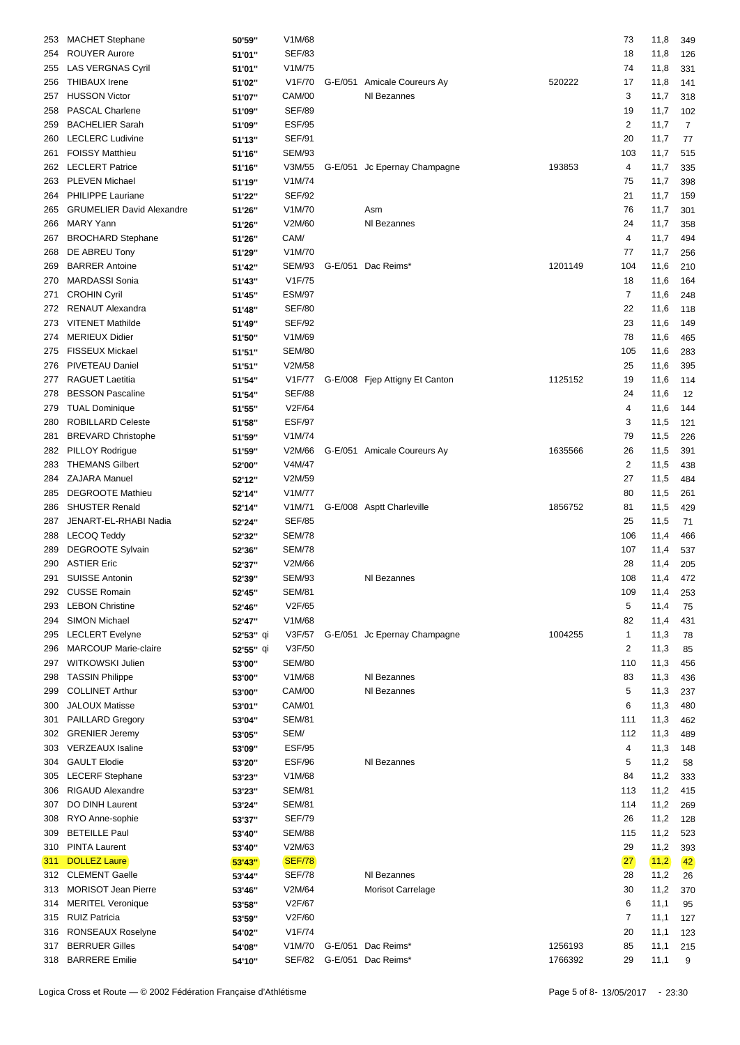| 256<br>257<br>258 |                                                | 51'01"           | V1M/75                  |                                          |                    | 74             | 11,8         | 331            |
|-------------------|------------------------------------------------|------------------|-------------------------|------------------------------------------|--------------------|----------------|--------------|----------------|
|                   | <b>THIBAUX</b> Irene                           | 51'02"           | V1F/70                  | G-E/051 Amicale Coureurs Ay              | 520222             | 17             | 11,8         | 141            |
|                   | <b>HUSSON Victor</b>                           | 51'07"           | <b>CAM/00</b>           | NI Bezannes                              |                    | 3              | 11,7         | 318            |
|                   |                                                |                  | <b>SEF/89</b>           |                                          |                    | 19             |              |                |
|                   | PASCAL Charlene                                | 51'09"           |                         |                                          |                    |                | 11,7         | 102            |
| 259               | <b>BACHELIER Sarah</b>                         | 51'09"           | <b>ESF/95</b>           |                                          |                    | $\overline{2}$ | 11,7         | $\overline{7}$ |
| 260               | <b>LECLERC Ludivine</b>                        | 51'13"           | <b>SEF/91</b>           |                                          |                    | 20             | 11,7         | 77             |
| 261               | <b>FOISSY Matthieu</b>                         | 51'16"           | <b>SEM/93</b>           |                                          |                    | 103            | 11,7         | 515            |
| 262               | <b>LECLERT Patrice</b>                         | 51'16"           | V3M/55                  | G-E/051 Jc Epernay Champagne             | 193853             | 4              | 11,7         | 335            |
| 263               | <b>PLEVEN Michael</b>                          | 51'19"           | V1M/74                  |                                          |                    | 75             | 11,7         | 398            |
| 264               | PHILIPPE Lauriane                              | 51'22"           | <b>SEF/92</b>           |                                          |                    | 21             | 11,7         | 159            |
| 265               | <b>GRUMELIER David Alexandre</b>               | 51'26"           | V1M/70                  | Asm                                      |                    | 76             | 11,7         | 301            |
| 266               | <b>MARY Yann</b>                               | 51'26"           | V2M/60                  | NI Bezannes                              |                    | 24             | 11,7         | 358            |
| 267               | <b>BROCHARD Stephane</b>                       |                  | CAM/                    |                                          |                    | 4              | 11,7         | 494            |
|                   |                                                | 51'26"           |                         |                                          |                    |                |              |                |
| 268               | DE ABREU Tony                                  | 51'29"           | V1M/70                  |                                          |                    | 77             | 11,7         | 256            |
| 269               | <b>BARRER Antoine</b>                          | 51'42"           | SEM/93                  | G-E/051 Dac Reims*                       | 1201149            | 104            | 11,6         | 210            |
| 270               | <b>MARDASSI Sonia</b>                          | 51'43"           | V1F/75                  |                                          |                    | 18             | 11,6         | 164            |
| 271               | <b>CROHIN Cyril</b>                            | 51'45"           | <b>ESM/97</b>           |                                          |                    | $\overline{7}$ | 11,6         | 248            |
| 272               | <b>RENAUT Alexandra</b>                        | 51'48"           | <b>SEF/80</b>           |                                          |                    | 22             | 11,6         | 118            |
| 273               | <b>VITENET Mathilde</b>                        | 51'49"           | <b>SEF/92</b>           |                                          |                    | 23             | 11,6         | 149            |
| 274               | <b>MERIEUX Didier</b>                          | 51'50"           | V1M/69                  |                                          |                    | 78             | 11,6         | 465            |
| 275               | <b>FISSEUX Mickael</b>                         | 51'51"           | <b>SEM/80</b>           |                                          |                    | 105            | 11,6         | 283            |
|                   | <b>PIVETEAU Daniel</b>                         |                  | V2M/58                  |                                          |                    | 25             |              |                |
| 276               |                                                | 51'51"           |                         |                                          |                    |                | 11,6         | 395            |
| 277               | <b>RAGUET Laetitia</b>                         | 51'54"           | V1F/77                  | G-E/008 Fjep Attigny Et Canton           | 1125152            | 19             | 11,6         | 114            |
| 278               | <b>BESSON Pascaline</b>                        | 51'54"           | <b>SEF/88</b>           |                                          |                    | 24             | 11,6         | 12             |
| 279               | <b>TUAL Dominique</b>                          | 51'55"           | V2F/64                  |                                          |                    | 4              | 11,6         | 144            |
| 280               | <b>ROBILLARD Celeste</b>                       | 51'58"           | <b>ESF/97</b>           |                                          |                    | 3              | 11,5         | 121            |
| 281               | <b>BREVARD Christophe</b>                      | 51'59"           | V1M/74                  |                                          |                    | 79             | 11,5         | 226            |
| 282               | PILLOY Rodrigue                                | 51'59"           | V2M/66                  | G-E/051 Amicale Coureurs Ay              | 1635566            | 26             | 11,5         | 391            |
| 283               | <b>THEMANS Gilbert</b>                         | 52'00"           | V4M/47                  |                                          |                    | $\overline{2}$ | 11,5         | 438            |
| 284               | <b>ZAJARA Manuel</b>                           | 52'12"           | V2M/59                  |                                          |                    | 27             | 11,5         | 484            |
| 285               | <b>DEGROOTE Mathieu</b>                        |                  | V1M/77                  |                                          |                    | 80             |              |                |
|                   |                                                | 52'14"           |                         |                                          |                    |                | 11,5         | 261            |
| 286               | <b>SHUSTER Renald</b>                          | 52'14"           | V1M/71                  | G-E/008 Asptt Charleville                | 1856752            | 81             | 11,5         | 429            |
| 287               | JENART-EL-RHABI Nadia                          | 52'24"           | <b>SEF/85</b>           |                                          |                    | 25             | 11,5         | 71             |
| 288               | <b>LECOQ Teddy</b>                             | 52'32"           | <b>SEM/78</b>           |                                          |                    | 106            | 11,4         | 466            |
| 289               | <b>DEGROOTE Sylvain</b>                        | 52'36"           | <b>SEM/78</b>           |                                          |                    | 107            | 11,4         | 537            |
| 290               | <b>ASTIER Eric</b>                             | 52'37"           | V2M/66                  |                                          |                    | 28             | 11,4         | 205            |
| 291               | <b>SUISSE Antonin</b>                          | 52'39"           | <b>SEM/93</b>           | NI Bezannes                              |                    | 108            | 11,4         | 472            |
| 292               | <b>CUSSE Romain</b>                            | 52'45"           | <b>SEM/81</b>           |                                          |                    | 109            | 11,4         | 253            |
| 293               | <b>LEBON Christine</b>                         | 52'46"           | V2F/65                  |                                          |                    | 5              | 11,4         | 75             |
|                   | 294 SIMON Michael                              | 52'47"           | V1M/68                  |                                          |                    | 82             | 11,4         | 431            |
|                   |                                                |                  |                         |                                          |                    |                |              |                |
| 295               | <b>LECLERT</b> Evelyne                         | 52'53" qi        | V3F/57                  | G-E/051 Jc Epernay Champagne             | 1004255            | 1              | 11,3         | 78             |
| 296               | <b>MARCOUP Marie-claire</b>                    | 52'55" qi        | V3F/50                  |                                          |                    | 2              | 11,3         | 85             |
| 297               | WITKOWSKI Julien                               | 53'00"           | <b>SEM/80</b>           |                                          |                    | 110            | 11,3         | 456            |
| 298               | <b>TASSIN Philippe</b>                         | 53'00"           | V1M/68                  | NI Bezannes                              |                    | 83             | 11,3         | 436            |
| 299               | <b>COLLINET Arthur</b>                         | 53'00"           | <b>CAM/00</b>           | NI Bezannes                              |                    | 5              | 11,3         | 237            |
| 300               | <b>JALOUX Matisse</b>                          | 53'01"           | CAM/01                  |                                          |                    | 6              | 11,3         | 480            |
| 301               | <b>PAILLARD Gregory</b>                        | 53'04"           | <b>SEM/81</b>           |                                          |                    | 111            | 11,3         | 462            |
| 302               | <b>GRENIER Jeremy</b>                          | 53'05"           | SEM/                    |                                          |                    | 112            | 11,3         | 489            |
| 303               | <b>VERZEAUX Isaline</b>                        | 53'09"           | <b>ESF/95</b>           |                                          |                    | 4              | 11,3         | 148            |
| 304               | <b>GAULT Elodie</b>                            | 53'20"           | ESF/96                  | NI Bezannes                              |                    | 5              | 11,2         | 58             |
|                   |                                                |                  |                         |                                          |                    |                |              |                |
| 305               | <b>LECERF</b> Stephane                         | 53'23"           | V1M/68                  |                                          |                    | 84             | 11,2         | 333            |
| 306               | RIGAUD Alexandre                               | 53'23"           | <b>SEM/81</b>           |                                          |                    | 113            | 11,2         | 415            |
| 307               | DO DINH Laurent                                | 53'24"           | <b>SEM/81</b>           |                                          |                    | 114            | 11,2         | 269            |
| 308               | RYO Anne-sophie                                | 53'37"           | <b>SEF/79</b>           |                                          |                    | 26             | 11,2         | 128            |
| 309               | <b>BETEILLE Paul</b>                           | 53'40"           | <b>SEM/88</b>           |                                          |                    | 115            | 11,2         | 523            |
|                   | <b>PINTA Laurent</b>                           | 53'40"           | V2M/63                  |                                          |                    | 29             | 11,2         | 393            |
| 310               | <b>DOLLEZ Laure</b>                            | 53'43"           | <b>SEF/78</b>           |                                          |                    | 27             | 11,2         | 42             |
| 311               |                                                | 53'44"           | <b>SEF/78</b>           | NI Bezannes                              |                    | 28             | 11,2         | 26             |
| 312               |                                                |                  |                         |                                          |                    |                |              |                |
|                   | <b>CLEMENT Gaelle</b>                          |                  |                         |                                          |                    |                |              |                |
| 313               | <b>MORISOT Jean Pierre</b>                     | 53'46"           | V2M/64                  | Morisot Carrelage                        |                    | 30             | 11,2         | 370            |
| 314               | <b>MERITEL Veronique</b>                       | 53'58"           | V2F/67                  |                                          |                    | 6              | 11,1         | 95             |
| 315               | <b>RUIZ Patricia</b>                           | 53'59"           | V2F/60                  |                                          |                    | $\overline{7}$ | 11,1         | 127            |
| 316               | RONSEAUX Roselyne                              | 54'02"           | V1F/74                  |                                          |                    | 20             | 11,1         | 123            |
| 317<br>318        | <b>BERRUER Gilles</b><br><b>BARRERE Emilie</b> | 54'08"<br>54'10" | V1M/70<br><b>SEF/82</b> | G-E/051 Dac Reims*<br>G-E/051 Dac Reims* | 1256193<br>1766392 | 85<br>29       | 11,1<br>11,1 | 215<br>9       |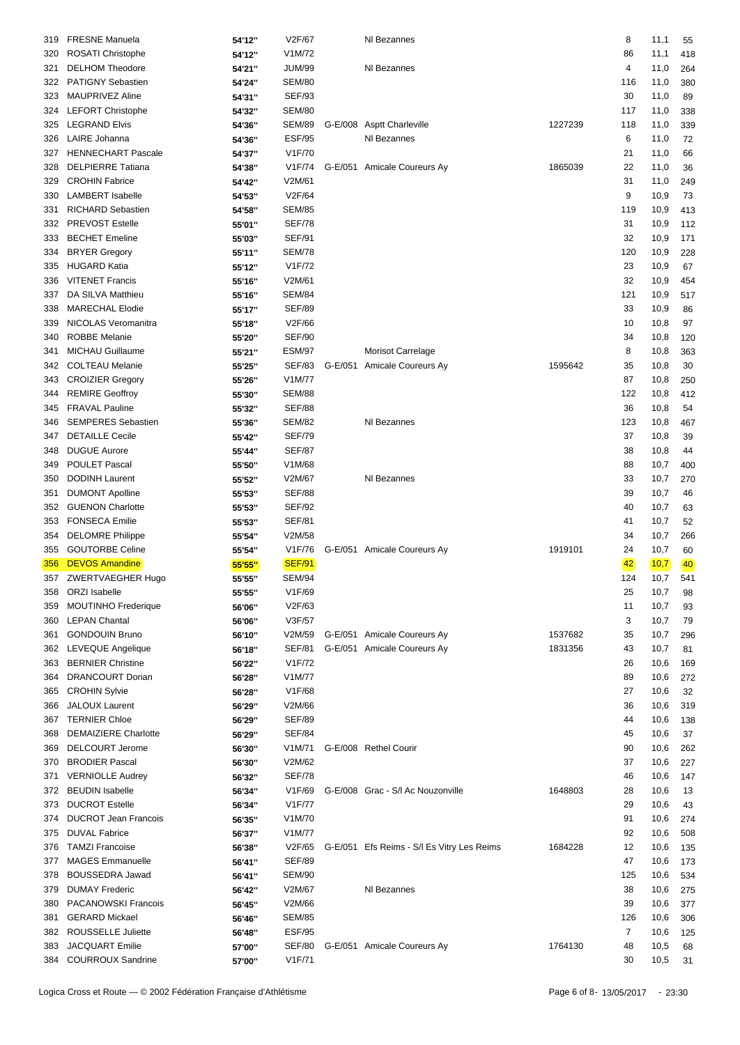| 321 | <b>DELHOM Theodore</b>      | 54'21" | <b>JUM/99</b> |         | NI Bezannes                                |         | 4              | 11,0 | 264 |
|-----|-----------------------------|--------|---------------|---------|--------------------------------------------|---------|----------------|------|-----|
| 322 | <b>PATIGNY Sebastien</b>    | 54'24" | <b>SEM/80</b> |         |                                            |         | 116            | 11,0 | 380 |
| 323 | MAUPRIVEZ Aline             | 54'31" | <b>SEF/93</b> |         |                                            |         | 30             | 11,0 | 89  |
| 324 | <b>LEFORT Christophe</b>    | 54'32" | <b>SEM/80</b> |         |                                            |         | 117            | 11,0 | 338 |
| 325 | <b>LEGRAND Elvis</b>        | 54'36" | <b>SEM/89</b> |         | G-E/008 Asptt Charleville                  | 1227239 | 118            | 11,0 | 339 |
| 326 | LAIRE Johanna               | 54'36" | <b>ESF/95</b> |         | NI Bezannes                                |         | 6              | 11,0 | 72  |
| 327 | <b>HENNECHART Pascale</b>   | 54'37" | V1F/70        |         |                                            |         | 21             | 11,0 | 66  |
| 328 | <b>DELPIERRE Tatiana</b>    | 54'38" | V1F/74        |         | G-E/051 Amicale Coureurs Ay                | 1865039 | 22             | 11,0 | 36  |
| 329 | <b>CROHIN Fabrice</b>       | 54'42" | V2M/61        |         |                                            |         | 31             | 11,0 | 249 |
| 330 | <b>LAMBERT</b> Isabelle     | 54'53" | V2F/64        |         |                                            |         | 9              | 10,9 | 73  |
| 331 | RICHARD Sebastien           | 54'58" | <b>SEM/85</b> |         |                                            |         | 119            | 10,9 | 413 |
| 332 | <b>PREVOST Estelle</b>      | 55'01" | <b>SEF/78</b> |         |                                            |         | 31             | 10,9 | 112 |
| 333 | <b>BECHET Emeline</b>       |        | <b>SEF/91</b> |         |                                            |         | 32             | 10,9 | 171 |
|     | <b>BRYER Gregory</b>        | 55'03" | <b>SEM/78</b> |         |                                            |         | 120            | 10,9 |     |
| 334 |                             | 55'11" |               |         |                                            |         |                |      | 228 |
| 335 | <b>HUGARD Katia</b>         | 55'12" | V1F/72        |         |                                            |         | 23             | 10,9 | 67  |
| 336 | <b>VITENET Francis</b>      | 55'16" | V2M/61        |         |                                            |         | 32             | 10,9 | 454 |
| 337 | DA SILVA Matthieu           | 55'16" | <b>SEM/84</b> |         |                                            |         | 121            | 10,9 | 517 |
| 338 | <b>MARECHAL Elodie</b>      | 55'17" | <b>SEF/89</b> |         |                                            |         | 33             | 10,9 | 86  |
| 339 | NICOLAS Veromanitra         | 55'18" | V2F/66        |         |                                            |         | 10             | 10,8 | 97  |
| 340 | <b>ROBBE Melanie</b>        | 55'20" | <b>SEF/90</b> |         |                                            |         | 34             | 10,8 | 120 |
| 341 | <b>MICHAU Guillaume</b>     | 55'21" | <b>ESM/97</b> |         | <b>Morisot Carrelage</b>                   |         | 8              | 10,8 | 363 |
| 342 | <b>COLTEAU Melanie</b>      | 55'25" | <b>SEF/83</b> | G-E/051 | Amicale Coureurs Ay                        | 1595642 | 35             | 10,8 | 30  |
| 343 | <b>CROIZIER Gregory</b>     | 55'26" | V1M/77        |         |                                            |         | 87             | 10,8 | 250 |
| 344 | <b>REMIRE Geoffroy</b>      | 55'30" | <b>SEM/88</b> |         |                                            |         | 122            | 10,8 | 412 |
| 345 | <b>FRAVAL Pauline</b>       | 55'32" | <b>SEF/88</b> |         |                                            |         | 36             | 10,8 | 54  |
| 346 | SEMPERES Sebastien          | 55'36" | <b>SEM/82</b> |         | NI Bezannes                                |         | 123            | 10,8 | 467 |
| 347 | <b>DETAILLE Cecile</b>      | 55'42" | <b>SEF/79</b> |         |                                            |         | 37             | 10,8 | 39  |
| 348 | <b>DUGUE Aurore</b>         | 55'44" | <b>SEF/87</b> |         |                                            |         | 38             | 10,8 | 44  |
| 349 | <b>POULET Pascal</b>        | 55'50" | V1M/68        |         |                                            |         | 88             | 10,7 | 400 |
| 350 | <b>DODINH Laurent</b>       | 55'52" | V2M/67        |         | NI Bezannes                                |         | 33             | 10,7 | 270 |
| 351 | <b>DUMONT Apolline</b>      | 55'53" | <b>SEF/88</b> |         |                                            |         | 39             | 10,7 | 46  |
| 352 | <b>GUENON Charlotte</b>     | 55'53" | <b>SEF/92</b> |         |                                            |         | 40             | 10,7 | 63  |
| 353 | <b>FONSECA Emilie</b>       | 55'53" | <b>SEF/81</b> |         |                                            |         | 41             | 10,7 | 52  |
| 354 | <b>DELOMRE Philippe</b>     | 55'54" | V2M/58        |         |                                            |         | 34             | 10,7 | 266 |
| 355 | <b>GOUTORBE Celine</b>      | 55'54" | V1F/76        |         | G-E/051 Amicale Coureurs Ay                | 1919101 | 24             | 10,7 | 60  |
| 356 | <b>DEVOS Amandine</b>       | 55'55" | <b>SEF/91</b> |         |                                            |         | 42             | 10,7 | 40  |
| 357 | ZWERTVAEGHER Hugo           | 55'55" | <b>SEM/94</b> |         |                                            |         | 124            | 10,7 | 541 |
| 358 | ORZI Isabelle               | 55'55" | V1F/69        |         |                                            |         | 25             | 10,7 | 98  |
| 359 | <b>MOUTINHO Frederique</b>  | 56'06" | V2F/63        |         |                                            |         | 11             | 10,7 | 93  |
|     | 360 LEPAN Chantal           | 56'06" | V3F/57        |         |                                            |         | 3              | 10,7 | 79  |
| 361 | <b>GONDOUIN Bruno</b>       | 56'10" | V2M/59        |         | G-E/051 Amicale Coureurs Ay                | 1537682 | 35             | 10,7 | 296 |
| 362 | LEVEQUE Angelique           | 56'18" | <b>SEF/81</b> |         | G-E/051 Amicale Coureurs Ay                | 1831356 | 43             | 10,7 | 81  |
| 363 | <b>BERNIER Christine</b>    |        | V1F/72        |         |                                            |         | 26             | 10,6 | 169 |
|     | <b>DRANCOURT Dorian</b>     | 56'22" | V1M/77        |         |                                            |         | 89             |      |     |
| 364 |                             | 56'28" |               |         |                                            |         |                | 10,6 | 272 |
| 365 | <b>CROHIN Sylvie</b>        | 56'28" | V1F/68        |         |                                            |         | 27             | 10,6 | 32  |
| 366 | <b>JALOUX Laurent</b>       | 56'29" | V2M/66        |         |                                            |         | 36             | 10,6 | 319 |
| 367 | <b>TERNIER Chloe</b>        | 56'29" | <b>SEF/89</b> |         |                                            |         | 44             | 10,6 | 138 |
| 368 | <b>DEMAIZIERE Charlotte</b> | 56'29" | <b>SEF/84</b> |         |                                            |         | 45             | 10,6 | 37  |
| 369 | <b>DELCOURT Jerome</b>      | 56'30" | V1M/71        |         | G-E/008 Rethel Courir                      |         | 90             | 10,6 | 262 |
| 370 | <b>BRODIER Pascal</b>       | 56'30" | V2M/62        |         |                                            |         | 37             | 10,6 | 227 |
| 371 | <b>VERNIOLLE Audrey</b>     | 56'32" | <b>SEF/78</b> |         |                                            |         | 46             | 10,6 | 147 |
| 372 | <b>BEUDIN</b> Isabelle      | 56'34" | V1F/69        |         | G-E/008 Grac - S/I Ac Nouzonville          | 1648803 | 28             | 10,6 | 13  |
| 373 | <b>DUCROT Estelle</b>       | 56'34" | <b>V1F/77</b> |         |                                            |         | 29             | 10,6 | 43  |
| 374 | <b>DUCROT Jean Francois</b> | 56'35" | V1M/70        |         |                                            |         | 91             | 10,6 | 274 |
| 375 | <b>DUVAL Fabrice</b>        | 56'37" | V1M/77        |         |                                            |         | 92             | 10,6 | 508 |
| 376 | <b>TAMZI Francoise</b>      | 56'38" | V2F/65        |         | G-E/051 Efs Reims - S/I Es Vitry Les Reims | 1684228 | 12             | 10,6 | 135 |
| 377 | <b>MAGES Emmanuelle</b>     | 56'41" | <b>SEF/89</b> |         |                                            |         | 47             | 10,6 | 173 |
| 378 | <b>BOUSSEDRA Jawad</b>      | 56'41" | <b>SEM/90</b> |         |                                            |         | 125            | 10,6 | 534 |
| 379 | <b>DUMAY Frederic</b>       | 56'42" | V2M/67        |         | NI Bezannes                                |         | 38             | 10,6 | 275 |
| 380 | <b>PACANOWSKI Francois</b>  | 56'45" | V2M/66        |         |                                            |         | 39             | 10,6 | 377 |
| 381 | <b>GERARD Mickael</b>       | 56'46" | <b>SEM/85</b> |         |                                            |         | 126            | 10,6 | 306 |
| 382 | ROUSSELLE Juliette          | 56'48" | <b>ESF/95</b> |         |                                            |         | $\overline{7}$ | 10,6 | 125 |
| 383 | <b>JACQUART Emilie</b>      | 57'00" | SEF/80        |         | G-E/051 Amicale Coureurs Ay                | 1764130 | 48             | 10,5 | 68  |
|     | 384 COURROUX Sandrine       | 57'00" | V1F/71        |         |                                            |         | 30             | 10,5 | 31  |
|     |                             |        |               |         |                                            |         |                |      |     |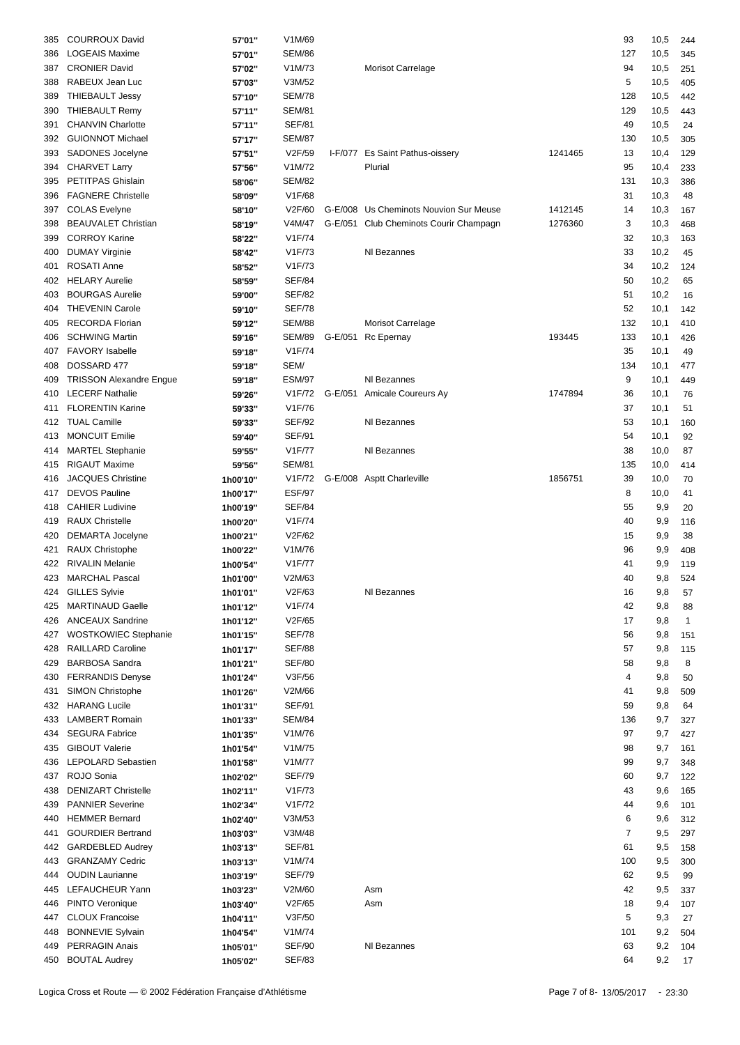| 385 | <b>COURROUX David</b>          | 57'01"   | V1M/69              |                                        |         | 93  | 10,5 | 244          |
|-----|--------------------------------|----------|---------------------|----------------------------------------|---------|-----|------|--------------|
| 386 | <b>LOGEAIS Maxime</b>          | 57'01"   | <b>SEM/86</b>       |                                        |         | 127 | 10,5 | 345          |
| 387 | <b>CRONIER David</b>           | 57'02"   | V1M/73              | <b>Morisot Carrelage</b>               |         | 94  | 10,5 | 251          |
| 388 | RABEUX Jean Luc                | 57'03"   | V3M/52              |                                        |         | 5   | 10,5 | 405          |
| 389 | <b>THIEBAULT Jessy</b>         | 57'10"   | <b>SEM/78</b>       |                                        |         | 128 | 10,5 | 442          |
| 390 | <b>THIEBAULT Remy</b>          | 57'11"   | <b>SEM/81</b>       |                                        |         | 129 | 10,5 | 443          |
| 391 | <b>CHANVIN Charlotte</b>       | 57'11"   | <b>SEF/81</b>       |                                        |         | 49  | 10,5 | 24           |
|     |                                |          |                     |                                        |         |     |      |              |
| 392 | <b>GUIONNOT Michael</b>        | 57'17"   | <b>SEM/87</b>       |                                        |         | 130 | 10,5 | 305          |
| 393 | SADONES Jocelyne               | 57'51"   | V2F/59              | I-F/077 Es Saint Pathus-oissery        | 1241465 | 13  | 10,4 | 129          |
| 394 | <b>CHARVET Larry</b>           | 57'56"   | V1M/72              | Plurial                                |         | 95  | 10,4 | 233          |
| 395 | <b>PETITPAS Ghislain</b>       | 58'06"   | <b>SEM/82</b>       |                                        |         | 131 | 10,3 | 386          |
| 396 | <b>FAGNERE Christelle</b>      | 58'09"   | V1F/68              |                                        |         | 31  | 10,3 | 48           |
| 397 | <b>COLAS</b> Evelyne           | 58'10"   | V2F/60              | G-E/008 Us Cheminots Nouvion Sur Meuse | 1412145 | 14  | 10,3 | 167          |
| 398 | <b>BEAUVALET Christian</b>     | 58'19"   | V4M/47              | G-E/051 Club Cheminots Courir Champagn | 1276360 | 3   | 10,3 | 468          |
| 399 | <b>CORROY Karine</b>           | 58'22"   | V1F/74              |                                        |         | 32  | 10,3 | 163          |
| 400 | <b>DUMAY Virginie</b>          | 58'42"   | V1F/73              | NI Bezannes                            |         | 33  | 10,2 | 45           |
| 401 | <b>ROSATI Anne</b>             | 58'52"   | V1F/73              |                                        |         | 34  | 10,2 | 124          |
| 402 | <b>HELARY Aurelie</b>          | 58'59"   | <b>SEF/84</b>       |                                        |         | 50  | 10,2 | 65           |
| 403 | <b>BOURGAS Aurelie</b>         |          | <b>SEF/82</b>       |                                        |         | 51  | 10,2 |              |
|     |                                | 59'00"   |                     |                                        |         |     |      | 16           |
| 404 | <b>THEVENIN Carole</b>         | 59'10"   | <b>SEF/78</b>       |                                        |         | 52  | 10,1 | 142          |
| 405 | <b>RECORDA Florian</b>         | 59'12"   | <b>SEM/88</b>       | <b>Morisot Carrelage</b>               |         | 132 | 10,1 | 410          |
| 406 | <b>SCHWING Martin</b>          | 59'16"   | <b>SEM/89</b>       | G-E/051 Rc Epernay                     | 193445  | 133 | 10,1 | 426          |
| 407 | <b>FAVORY Isabelle</b>         | 59'18"   | V1F/74              |                                        |         | 35  | 10,1 | 49           |
| 408 | DOSSARD 477                    | 59'18"   | SEM/                |                                        |         | 134 | 10,1 | 477          |
| 409 | <b>TRISSON Alexandre Engue</b> | 59'18"   | <b>ESM/97</b>       | NI Bezannes                            |         | 9   | 10,1 | 449          |
| 410 | <b>LECERF Nathalie</b>         | 59'26"   | V <sub>1</sub> F/72 | G-E/051 Amicale Coureurs Ay            | 1747894 | 36  | 10,1 | 76           |
| 411 | <b>FLORENTIN Karine</b>        | 59'33"   | V1F/76              |                                        |         | 37  | 10,1 | 51           |
| 412 | <b>TUAL Camille</b>            | 59'33"   | <b>SEF/92</b>       | NI Bezannes                            |         | 53  | 10,1 | 160          |
| 413 | <b>MONCUIT Emilie</b>          | 59'40"   | <b>SEF/91</b>       |                                        |         | 54  | 10,1 | 92           |
| 414 | <b>MARTEL Stephanie</b>        | 59'55"   | V1F/77              | NI Bezannes                            |         | 38  | 10,0 | 87           |
| 415 | <b>RIGAUT Maxime</b>           | 59'56"   | <b>SEM/81</b>       |                                        |         | 135 | 10,0 | 414          |
|     | <b>JACQUES Christine</b>       |          | V1F/72              |                                        | 1856751 | 39  | 10,0 |              |
| 416 |                                | 1h00'10" |                     | G-E/008 Asptt Charleville              |         |     |      | 70           |
| 417 | <b>DEVOS Pauline</b>           | 1h00'17" | <b>ESF/97</b>       |                                        |         | 8   | 10,0 | 41           |
| 418 | <b>CAHIER Ludivine</b>         | 1h00'19" | <b>SEF/84</b>       |                                        |         | 55  | 9,9  | 20           |
| 419 | <b>RAUX Christelle</b>         | 1h00'20" | V1F/74              |                                        |         | 40  | 9,9  | 116          |
| 420 | <b>DEMARTA Jocelyne</b>        | 1h00'21" | V2F/62              |                                        |         | 15  | 9,9  | 38           |
| 421 | <b>RAUX Christophe</b>         | 1h00'22" | V1M/76              |                                        |         | 96  | 9,9  | 408          |
| 422 | <b>RIVALIN Melanie</b>         | 1h00'54" | V1F/77              |                                        |         | 41  | 9,9  | 119          |
|     | 423 MARCHAL Pascal             | 1h01'00" | V2M/63              |                                        |         | 40  | 9,8  | 524          |
|     | 424 GILLES Sylvie              | 1h01'01" | V2F/63              | NI Bezannes                            |         | 16  | 9,8  | 57           |
| 425 | <b>MARTINAUD Gaelle</b>        | 1h01'12" | V1F/74              |                                        |         | 42  | 9,8  | 88           |
| 426 | <b>ANCEAUX Sandrine</b>        | 1h01'12" | V2F/65              |                                        |         | 17  | 9,8  | $\mathbf{1}$ |
| 427 | <b>WOSTKOWIEC Stephanie</b>    | 1h01'15" | SEF/78              |                                        |         | 56  | 9,8  | 151          |
| 428 | <b>RAILLARD Caroline</b>       | 1h01'17" | <b>SEF/88</b>       |                                        |         | 57  | 9,8  | 115          |
| 429 | <b>BARBOSA Sandra</b>          | 1h01'21" | <b>SEF/80</b>       |                                        |         | 58  | 9,8  | 8            |
|     |                                |          | V3F/56              |                                        |         | 4   |      |              |
| 430 | <b>FERRANDIS Denyse</b>        | 1h01'24" |                     |                                        |         |     | 9,8  | 50           |
| 431 | <b>SIMON Christophe</b>        | 1h01'26" | V2M/66              |                                        |         | 41  | 9,8  | 509          |
| 432 | <b>HARANG Lucile</b>           | 1h01'31" | <b>SEF/91</b>       |                                        |         | 59  | 9,8  | 64           |
| 433 | <b>LAMBERT Romain</b>          | 1h01'33" | <b>SEM/84</b>       |                                        |         | 136 | 9,7  | 327          |
| 434 | <b>SEGURA Fabrice</b>          | 1h01'35" | V1M/76              |                                        |         | 97  | 9,7  | 427          |
| 435 | <b>GIBOUT Valerie</b>          | 1h01'54" | V1M/75              |                                        |         | 98  | 9,7  | 161          |
| 436 | LEPOLARD Sebastien             | 1h01'58" | V1M/77              |                                        |         | 99  | 9,7  | 348          |
| 437 | ROJO Sonia                     | 1h02'02" | <b>SEF/79</b>       |                                        |         | 60  | 9,7  | 122          |
| 438 | <b>DENIZART Christelle</b>     | 1h02'11" | V1F/73              |                                        |         | 43  | 9,6  | 165          |
| 439 | <b>PANNIER Severine</b>        | 1h02'34" | V1F/72              |                                        |         | 44  | 9,6  | 101          |
| 440 | <b>HEMMER Bernard</b>          | 1h02'40" | V3M/53              |                                        |         | 6   | 9,6  | 312          |
| 441 | <b>GOURDIER Bertrand</b>       | 1h03'03" | V3M/48              |                                        |         | 7   | 9,5  | 297          |
| 442 | <b>GARDEBLED Audrey</b>        | 1h03'13" | <b>SEF/81</b>       |                                        |         | 61  | 9,5  | 158          |
| 443 | <b>GRANZAMY Cedric</b>         | 1h03'13" | V1M/74              |                                        |         | 100 | 9,5  | 300          |
| 444 | <b>OUDIN Laurianne</b>         |          | SEF/79              |                                        |         | 62  | 9,5  | 99           |
|     |                                | 1h03'19" |                     |                                        |         | 42  |      |              |
| 445 | LEFAUCHEUR Yann                | 1h03'23" | V2M/60              | Asm                                    |         |     | 9,5  | 337          |
| 446 | <b>PINTO Veronique</b>         | 1h03'40" | V2F/65              | Asm                                    |         | 18  | 9,4  | 107          |
| 447 | <b>CLOUX Francoise</b>         | 1h04'11" | V3F/50              |                                        |         | 5   | 9,3  | 27           |
| 448 | <b>BONNEVIE Sylvain</b>        | 1h04'54" | V1M/74              |                                        |         | 101 | 9,2  | 504          |
| 449 | <b>PERRAGIN Anais</b>          | 1h05'01" | <b>SEF/90</b>       | NI Bezannes                            |         | 63  | 9,2  | 104          |
|     | 450 BOUTAL Audrey              | 1h05'02" | <b>SEF/83</b>       |                                        |         | 64  | 9,2  | 17           |